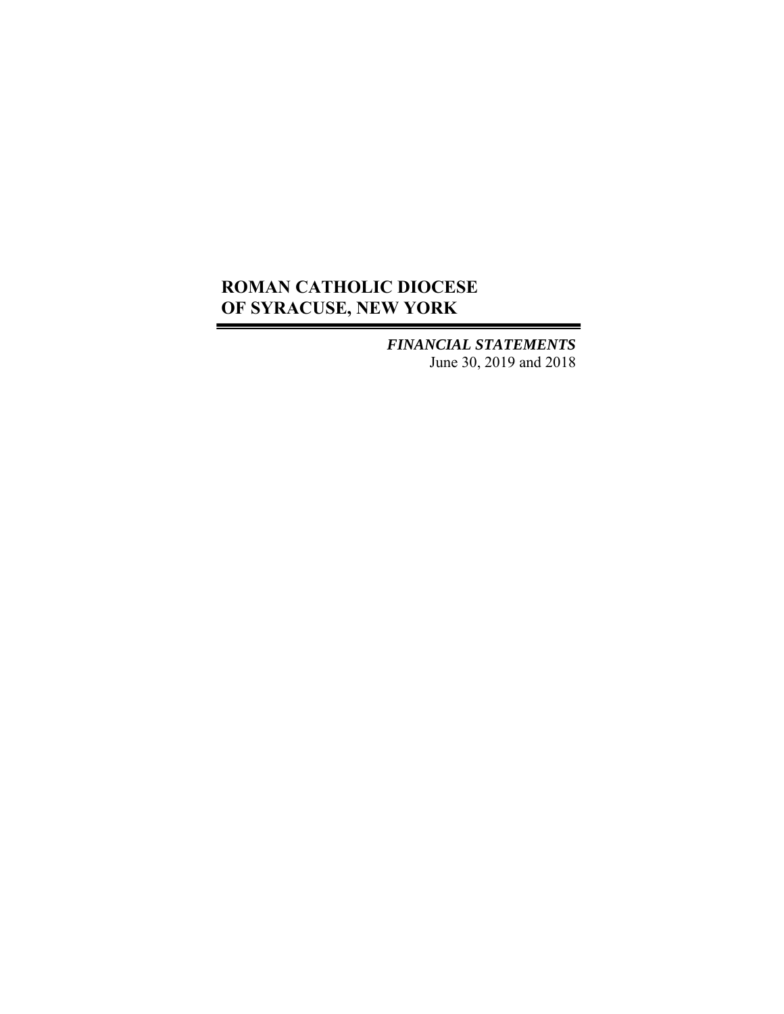*FINANCIAL STATEMENTS*  June 30, 2019 and 2018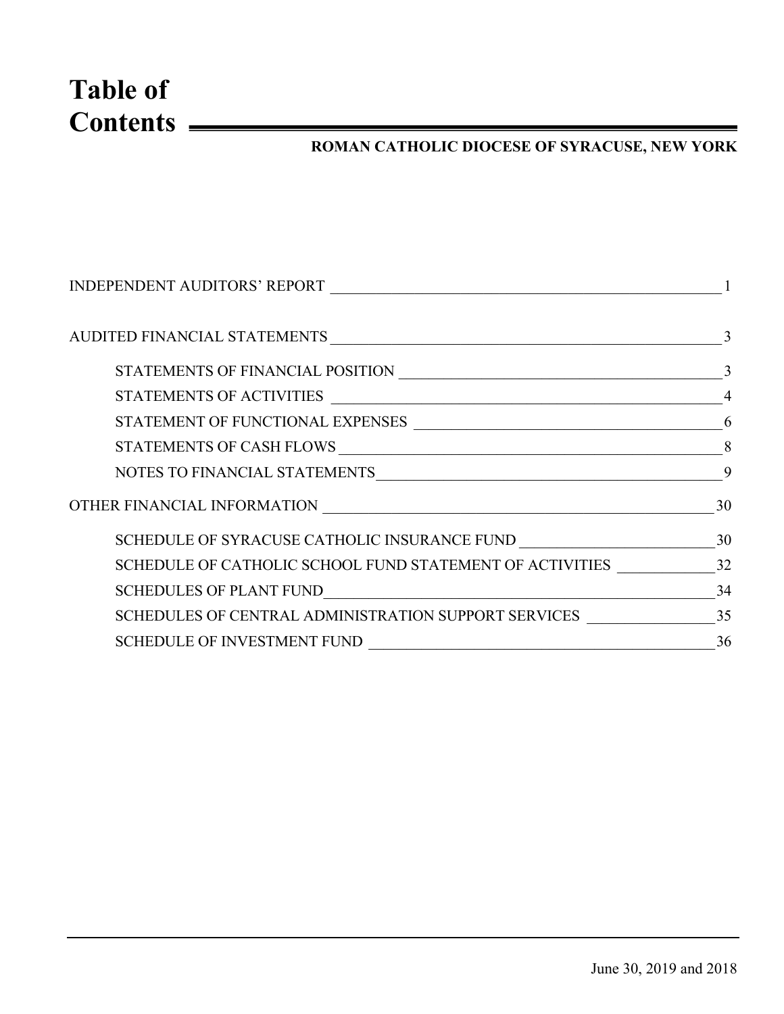# **Table of Contents**

## **ROMAN CATHOLIC DIOCESE OF SYRACUSE, NEW YORK**

| <b>INDEPENDENT AUDITORS' REPORT</b>                         |    |
|-------------------------------------------------------------|----|
|                                                             |    |
|                                                             |    |
| STATEMENTS OF ACTIVITIES                                    |    |
|                                                             | 6  |
|                                                             |    |
|                                                             | 9  |
|                                                             | 30 |
|                                                             |    |
| SCHEDULE OF CATHOLIC SCHOOL FUND STATEMENT OF ACTIVITIES 32 |    |
|                                                             | 34 |
| SCHEDULES OF CENTRAL ADMINISTRATION SUPPORT SERVICES 35     |    |
| <b>SCHEDULE OF INVESTMENT FUND</b>                          | 36 |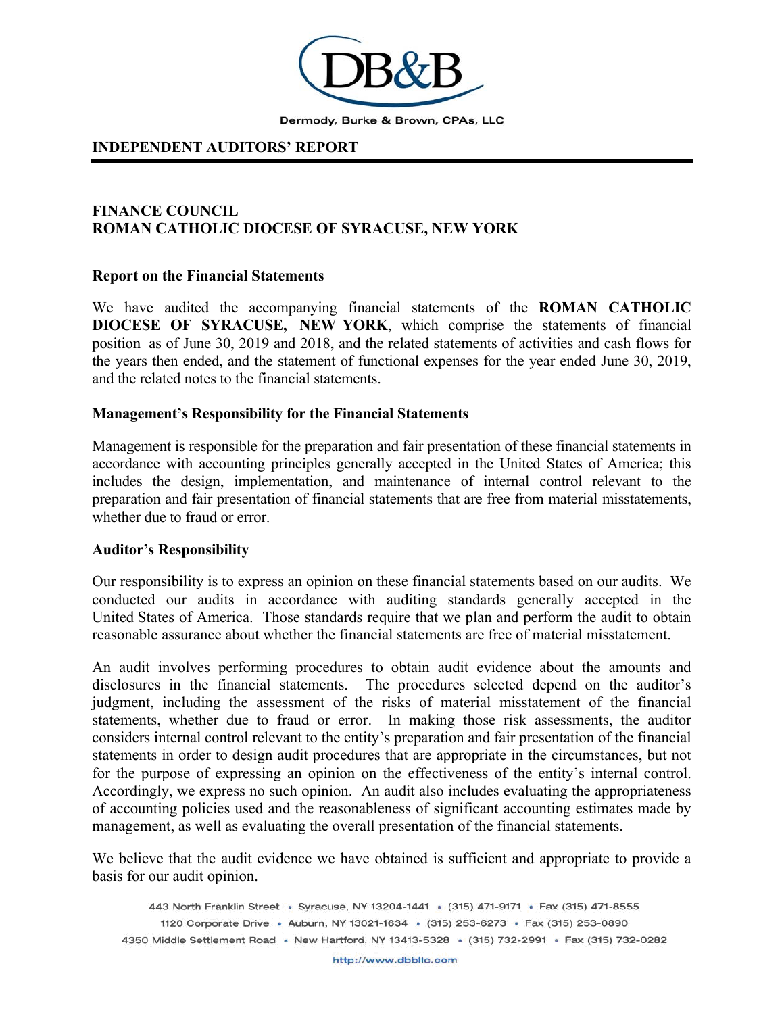

#### **INDEPENDENT AUDITORS' REPORT**

#### **FINANCE COUNCIL ROMAN CATHOLIC DIOCESE OF SYRACUSE, NEW YORK**

#### **Report on the Financial Statements**

We have audited the accompanying financial statements of the **ROMAN CATHOLIC DIOCESE OF SYRACUSE, NEW YORK**, which comprise the statements of financial position as of June 30, 2019 and 2018, and the related statements of activities and cash flows for the years then ended, and the statement of functional expenses for the year ended June 30, 2019, and the related notes to the financial statements.

#### **Management's Responsibility for the Financial Statements**

Management is responsible for the preparation and fair presentation of these financial statements in accordance with accounting principles generally accepted in the United States of America; this includes the design, implementation, and maintenance of internal control relevant to the preparation and fair presentation of financial statements that are free from material misstatements, whether due to fraud or error.

#### **Auditor's Responsibility**

Our responsibility is to express an opinion on these financial statements based on our audits. We conducted our audits in accordance with auditing standards generally accepted in the United States of America. Those standards require that we plan and perform the audit to obtain reasonable assurance about whether the financial statements are free of material misstatement.

An audit involves performing procedures to obtain audit evidence about the amounts and disclosures in the financial statements. The procedures selected depend on the auditor's judgment, including the assessment of the risks of material misstatement of the financial statements, whether due to fraud or error. In making those risk assessments, the auditor considers internal control relevant to the entity's preparation and fair presentation of the financial statements in order to design audit procedures that are appropriate in the circumstances, but not for the purpose of expressing an opinion on the effectiveness of the entity's internal control. Accordingly, we express no such opinion. An audit also includes evaluating the appropriateness of accounting policies used and the reasonableness of significant accounting estimates made by management, as well as evaluating the overall presentation of the financial statements.

We believe that the audit evidence we have obtained is sufficient and appropriate to provide a basis for our audit opinion.

443 North Franklin Street · Syracuse, NY 13204-1441 · (315) 471-9171 · Fax (315) 471-8555 1120 Corporate Drive · Auburn, NY 13021-1634 · (315) 253-6273 · Fax (315) 253-0890 4350 Middle Settlement Road · New Hartford, NY 13413-5328 · (315) 732-2991 · Fax (315) 732-0282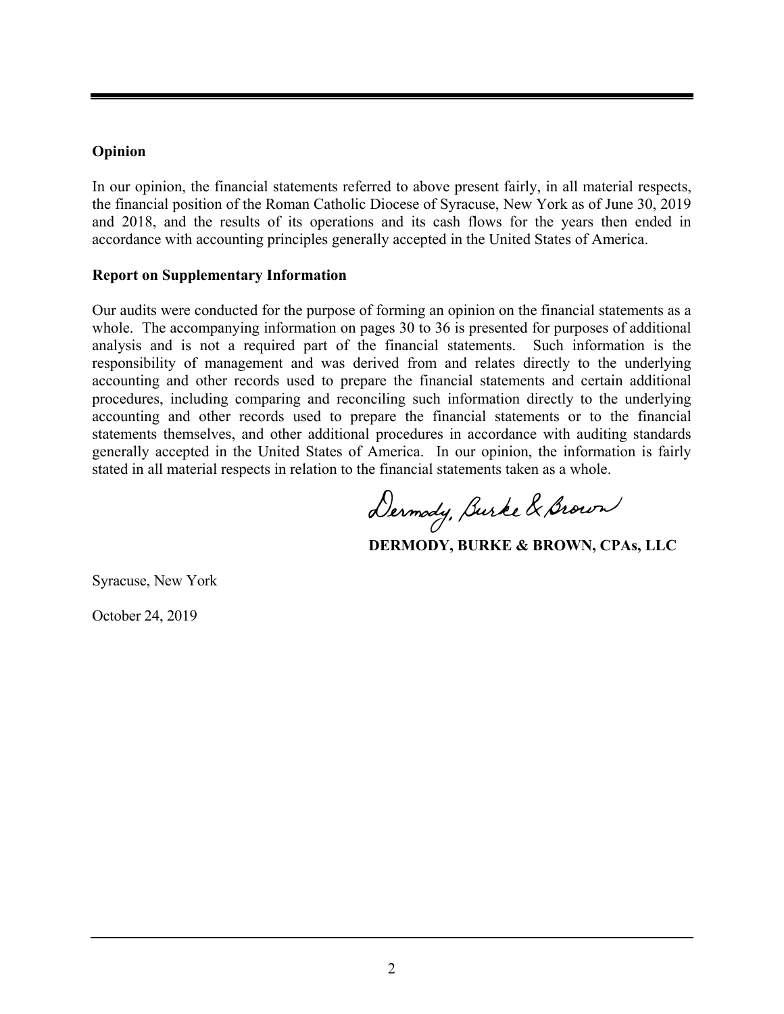#### **Opinion**

In our opinion, the financial statements referred to above present fairly, in all material respects, the financial position of the Roman Catholic Diocese of Syracuse, New York as of June 30, 2019 and 2018, and the results of its operations and its cash flows for the years then ended in accordance with accounting principles generally accepted in the United States of America.

#### **Report on Supplementary Information**

Our audits were conducted for the purpose of forming an opinion on the financial statements as a whole. The accompanying information on pages 30 to 36 is presented for purposes of additional analysis and is not a required part of the financial statements. Such information is the responsibility of management and was derived from and relates directly to the underlying accounting and other records used to prepare the financial statements and certain additional procedures, including comparing and reconciling such information directly to the underlying accounting and other records used to prepare the financial statements or to the financial statements themselves, and other additional procedures in accordance with auditing standards generally accepted in the United States of America. In our opinion, the information is fairly stated in all material respects in relation to the financial st atements taken as a whole.

Dermody, Burke & Brown

 **DERMODY, BURKE & BROWN, CPAs, LLC** 

Syracuse, New York

October 24, 2019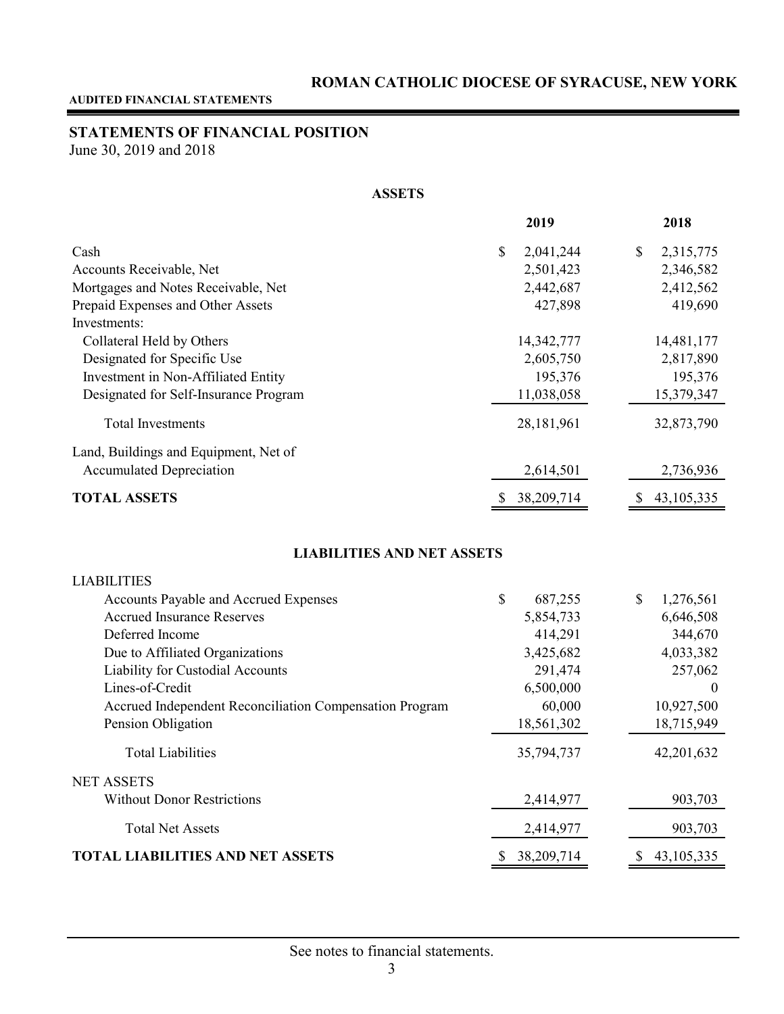## **STATEMENTS OF FINANCIAL POSITION**

June 30, 2019 and 2018

#### **ASSETS**

|                                       | 2019             | 2018           |
|---------------------------------------|------------------|----------------|
| Cash                                  | \$<br>2,041,244  | S<br>2,315,775 |
| Accounts Receivable, Net              | 2,501,423        | 2,346,582      |
| Mortgages and Notes Receivable, Net   | 2,442,687        | 2,412,562      |
| Prepaid Expenses and Other Assets     | 427,898          | 419,690        |
| Investments:                          |                  |                |
| Collateral Held by Others             | 14,342,777       | 14,481,177     |
| Designated for Specific Use           | 2,605,750        | 2,817,890      |
| Investment in Non-Affiliated Entity   | 195,376          | 195,376        |
| Designated for Self-Insurance Program | 11,038,058       | 15,379,347     |
| Total Investments                     | 28,181,961       | 32,873,790     |
| Land, Buildings and Equipment, Net of |                  |                |
| <b>Accumulated Depreciation</b>       | 2,614,501        | 2,736,936      |
| <b>TOTAL ASSETS</b>                   | 38,209,714<br>\$ | 43, 105, 335   |

#### **LIABILITIES AND NET ASSETS**

| <b>LIABILITIES</b>                                      |                 |                |
|---------------------------------------------------------|-----------------|----------------|
| Accounts Payable and Accrued Expenses                   | \$<br>687,255   | 1,276,561<br>S |
| <b>Accrued Insurance Reserves</b>                       | 5,854,733       | 6,646,508      |
| Deferred Income                                         | 414,291         | 344,670        |
| Due to Affiliated Organizations                         | 3,425,682       | 4,033,382      |
| Liability for Custodial Accounts                        | 291,474         | 257,062        |
| Lines-of-Credit                                         | 6,500,000       | $\theta$       |
| Accrued Independent Reconciliation Compensation Program | 60,000          | 10,927,500     |
| Pension Obligation                                      | 18,561,302      | 18,715,949     |
| <b>Total Liabilities</b>                                | 35,794,737      | 42,201,632     |
| <b>NET ASSETS</b>                                       |                 |                |
| <b>Without Donor Restrictions</b>                       | 2,414,977       | 903,703        |
| <b>Total Net Assets</b>                                 | 2,414,977       | 903,703        |
| LIABILITIES AND NET ASSETS                              | 38,209,714<br>S | 43, 105, 335   |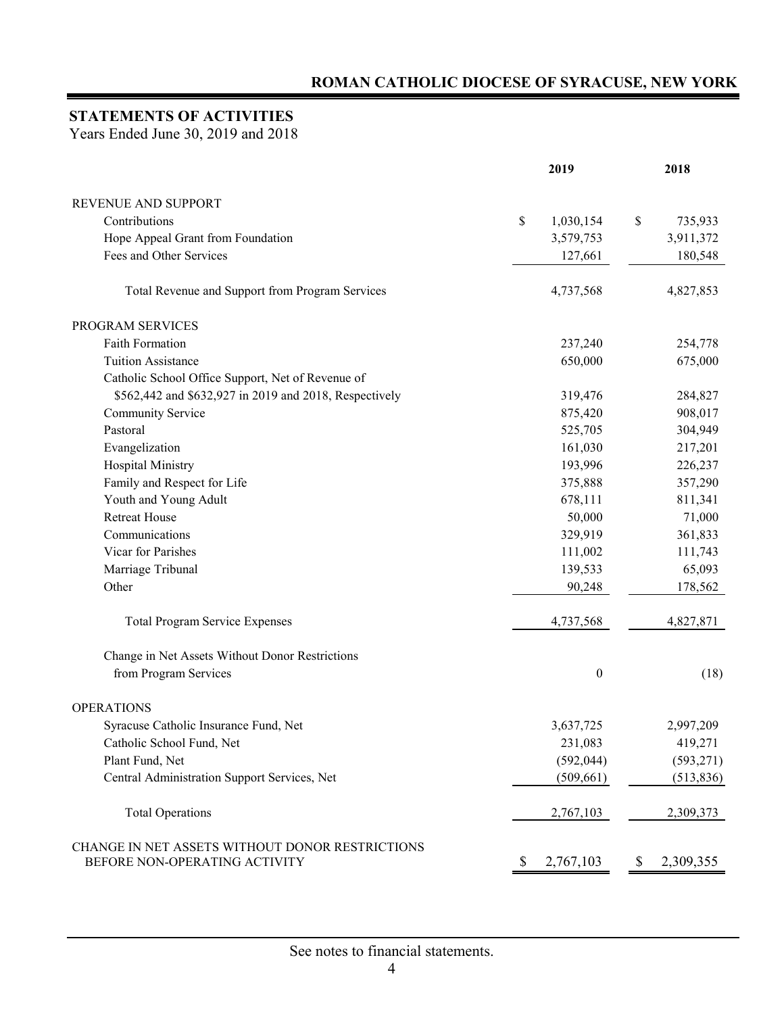## **STATEMENTS OF ACTIVITIES**

Years Ended June 30, 2019 and 2018

|                                                                                  | 2019 |                  |    | 2018       |  |
|----------------------------------------------------------------------------------|------|------------------|----|------------|--|
| REVENUE AND SUPPORT                                                              |      |                  |    |            |  |
| Contributions                                                                    | \$   | 1,030,154        | \$ | 735,933    |  |
| Hope Appeal Grant from Foundation                                                |      | 3,579,753        |    | 3,911,372  |  |
| Fees and Other Services                                                          |      | 127,661          |    | 180,548    |  |
| Total Revenue and Support from Program Services                                  |      | 4,737,568        |    | 4,827,853  |  |
| PROGRAM SERVICES                                                                 |      |                  |    |            |  |
| Faith Formation                                                                  |      | 237,240          |    | 254,778    |  |
| <b>Tuition Assistance</b>                                                        |      | 650,000          |    | 675,000    |  |
| Catholic School Office Support, Net of Revenue of                                |      |                  |    |            |  |
| \$562,442 and \$632,927 in 2019 and 2018, Respectively                           |      | 319,476          |    | 284,827    |  |
| Community Service                                                                |      | 875,420          |    | 908,017    |  |
| Pastoral                                                                         |      | 525,705          |    | 304,949    |  |
| Evangelization                                                                   |      | 161,030          |    | 217,201    |  |
| <b>Hospital Ministry</b>                                                         |      | 193,996          |    | 226,237    |  |
| Family and Respect for Life                                                      |      | 375,888          |    | 357,290    |  |
| Youth and Young Adult                                                            |      | 678,111          |    | 811,341    |  |
| <b>Retreat House</b>                                                             |      | 50,000           |    | 71,000     |  |
| Communications                                                                   |      | 329,919          |    | 361,833    |  |
| Vicar for Parishes                                                               |      | 111,002          |    | 111,743    |  |
| Marriage Tribunal                                                                |      | 139,533          |    | 65,093     |  |
| Other                                                                            |      | 90,248           |    | 178,562    |  |
| <b>Total Program Service Expenses</b>                                            |      | 4,737,568        |    | 4,827,871  |  |
| Change in Net Assets Without Donor Restrictions                                  |      |                  |    |            |  |
| from Program Services                                                            |      | $\boldsymbol{0}$ |    | (18)       |  |
| <b>OPERATIONS</b>                                                                |      |                  |    |            |  |
| Syracuse Catholic Insurance Fund, Net                                            |      | 3,637,725        |    | 2,997,209  |  |
| Catholic School Fund, Net                                                        |      | 231,083          |    | 419,271    |  |
| Plant Fund, Net                                                                  |      | (592, 044)       |    | (593, 271) |  |
| Central Administration Support Services, Net                                     |      | (509, 661)       |    | (513, 836) |  |
| <b>Total Operations</b>                                                          |      | 2,767,103        |    | 2,309,373  |  |
| CHANGE IN NET ASSETS WITHOUT DONOR RESTRICTIONS<br>BEFORE NON-OPERATING ACTIVITY | P    | 2,767,103        | \$ | 2,309,355  |  |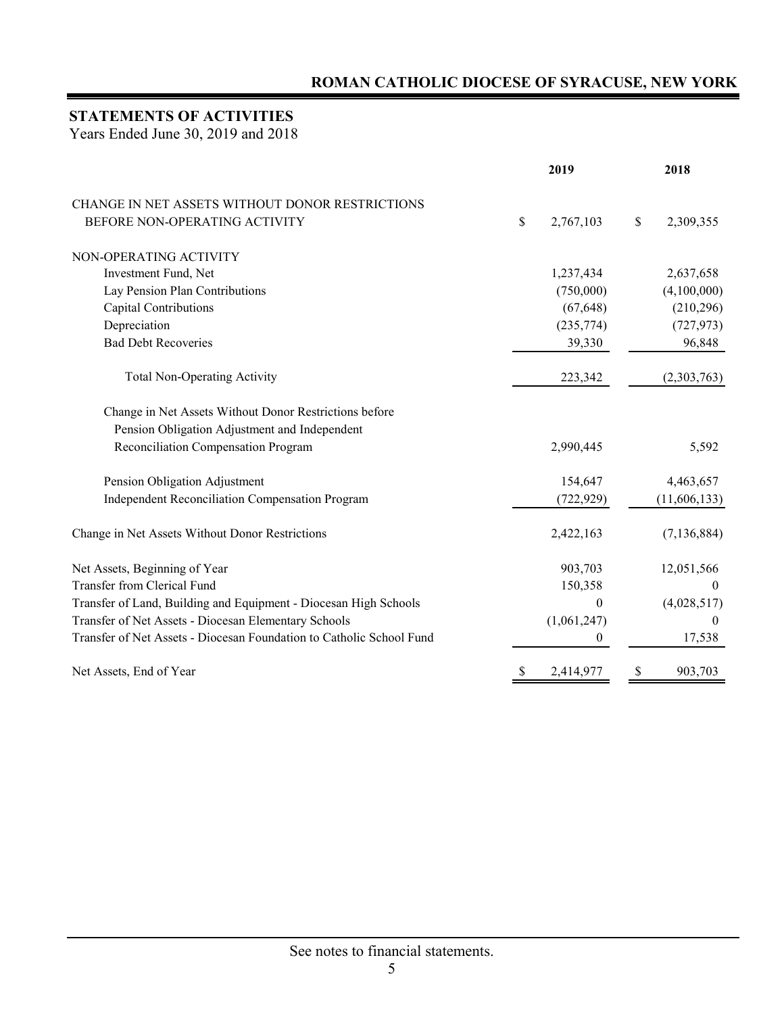## **STATEMENTS OF ACTIVITIES**

Years Ended June 30, 2019 and 2018

|                                                                      |              | 2019             |    | 2018           |
|----------------------------------------------------------------------|--------------|------------------|----|----------------|
| CHANGE IN NET ASSETS WITHOUT DONOR RESTRICTIONS                      |              |                  |    |                |
| BEFORE NON-OPERATING ACTIVITY                                        | \$           | 2,767,103        | \$ | 2,309,355      |
| NON-OPERATING ACTIVITY                                               |              |                  |    |                |
| Investment Fund, Net                                                 |              | 1,237,434        |    | 2,637,658      |
| Lay Pension Plan Contributions                                       |              | (750,000)        |    | (4,100,000)    |
| Capital Contributions                                                |              | (67, 648)        |    | (210, 296)     |
| Depreciation                                                         |              | (235, 774)       |    | (727, 973)     |
| <b>Bad Debt Recoveries</b>                                           |              | 39,330           |    | 96,848         |
| <b>Total Non-Operating Activity</b>                                  |              | 223,342          |    | (2,303,763)    |
| Change in Net Assets Without Donor Restrictions before               |              |                  |    |                |
| Pension Obligation Adjustment and Independent                        |              |                  |    |                |
| Reconciliation Compensation Program                                  |              | 2,990,445        |    | 5,592          |
| Pension Obligation Adjustment                                        |              | 154,647          |    | 4,463,657      |
| Independent Reconciliation Compensation Program                      |              | (722, 929)       |    | (11,606,133)   |
| Change in Net Assets Without Donor Restrictions                      |              | 2,422,163        |    | (7, 136, 884)  |
| Net Assets, Beginning of Year                                        |              | 903,703          |    | 12,051,566     |
| Transfer from Clerical Fund                                          |              | 150,358          |    | $\theta$       |
| Transfer of Land, Building and Equipment - Diocesan High Schools     |              | 0                |    | (4,028,517)    |
| Transfer of Net Assets - Diocesan Elementary Schools                 |              | (1,061,247)      |    | $\overline{0}$ |
| Transfer of Net Assets - Diocesan Foundation to Catholic School Fund |              | $\boldsymbol{0}$ |    | 17,538         |
| Net Assets, End of Year                                              | <sup>2</sup> | 2,414,977        | S  | 903,703        |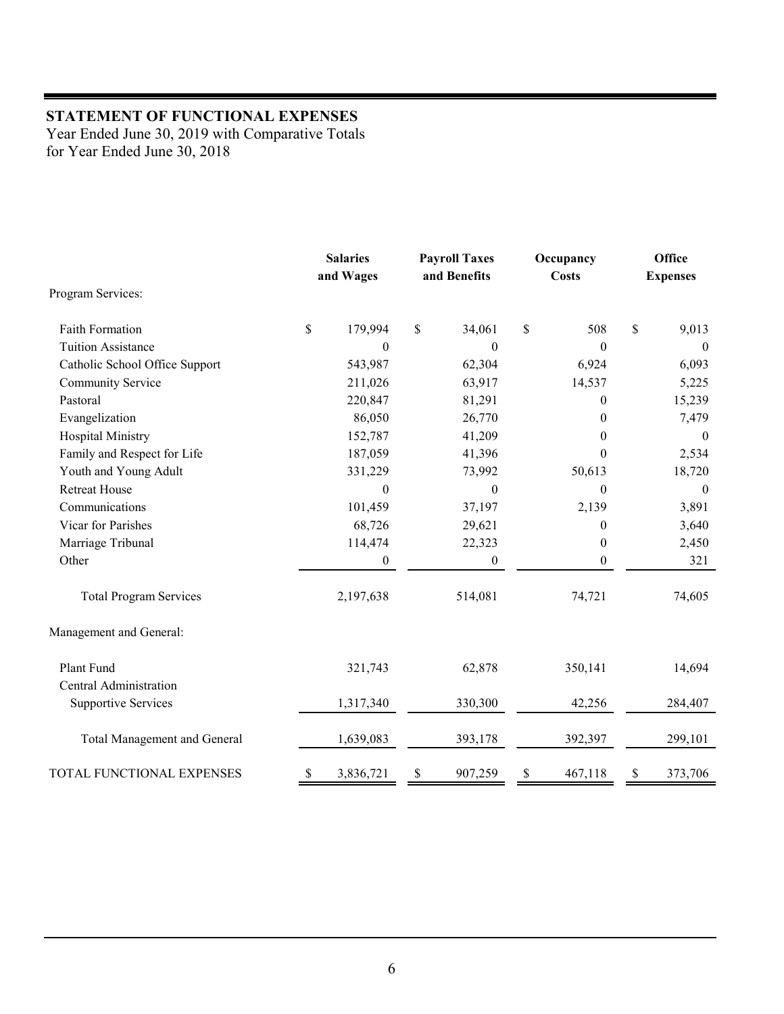## **STATEMENT OF FUNCTIONAL EXPENSES**

Year Ended June 30, 2019 with Comparative Totals for Year Ended June 30, 2018

|                                | <b>Salaries</b><br><b>Payroll Taxes</b><br>and Wages<br>and Benefits |                  | Occupancy<br><b>Costs</b> |    | Office<br><b>Expenses</b> |    |              |
|--------------------------------|----------------------------------------------------------------------|------------------|---------------------------|----|---------------------------|----|--------------|
| Program Services:              |                                                                      |                  |                           |    |                           |    |              |
| <b>Faith Formation</b>         | \$                                                                   | 179,994          | \$<br>34,061              | \$ | 508                       | \$ | 9,013        |
| <b>Tuition Assistance</b>      |                                                                      | $\Omega$         | $\theta$                  |    | $\theta$                  |    | $\theta$     |
| Catholic School Office Support |                                                                      | 543,987          | 62,304                    |    | 6,924                     |    | 6,093        |
| Community Service              |                                                                      | 211,026          | 63,917                    |    | 14,537                    |    | 5,225        |
| Pastoral                       |                                                                      | 220,847          | 81,291                    |    | $\boldsymbol{0}$          |    | 15,239       |
| Evangelization                 |                                                                      | 86,050           | 26,770                    |    | $\boldsymbol{0}$          |    | 7,479        |
| <b>Hospital Ministry</b>       |                                                                      | 152,787          | 41,209                    |    | $\boldsymbol{0}$          |    | $\mathbf{0}$ |
| Family and Respect for Life    |                                                                      | 187,059          | 41,396                    |    | $\boldsymbol{0}$          |    | 2,534        |
| Youth and Young Adult          |                                                                      | 331,229          | 73,992                    |    | 50,613                    |    | 18,720       |
| <b>Retreat House</b>           |                                                                      | $\mathbf{0}$     | $\mathbf{0}$              |    | $\boldsymbol{0}$          |    | $\mathbf{0}$ |
| Communications                 |                                                                      | 101,459          | 37,197                    |    | 2,139                     |    | 3,891        |
| Vicar for Parishes             |                                                                      | 68,726           | 29,621                    |    | $\boldsymbol{0}$          |    | 3,640        |
| Marriage Tribunal              |                                                                      | 114,474          | 22,323                    |    | $\boldsymbol{0}$          |    | 2,450        |
| Other                          |                                                                      | $\boldsymbol{0}$ | $\boldsymbol{0}$          |    | $\boldsymbol{0}$          |    | 321          |
| <b>Total Program Services</b>  |                                                                      | 2,197,638        | 514,081                   |    | 74,721                    |    | 74,605       |
| Management and General:        |                                                                      |                  |                           |    |                           |    |              |
| Plant Fund                     |                                                                      | 321,743          | 62,878                    |    | 350,141                   |    | 14,694       |
| Central Administration         |                                                                      |                  |                           |    |                           |    |              |
| <b>Supportive Services</b>     |                                                                      | 1,317,340        | 330,300                   |    | 42,256                    |    | 284,407      |
| Total Management and General   |                                                                      | 1,639,083        | 393,178                   |    | 392,397                   |    | 299,101      |
| TOTAL FUNCTIONAL EXPENSES      | \$                                                                   | 3,836,721        | \$<br>907,259             | \$ | 467,118                   | \$ | 373,706      |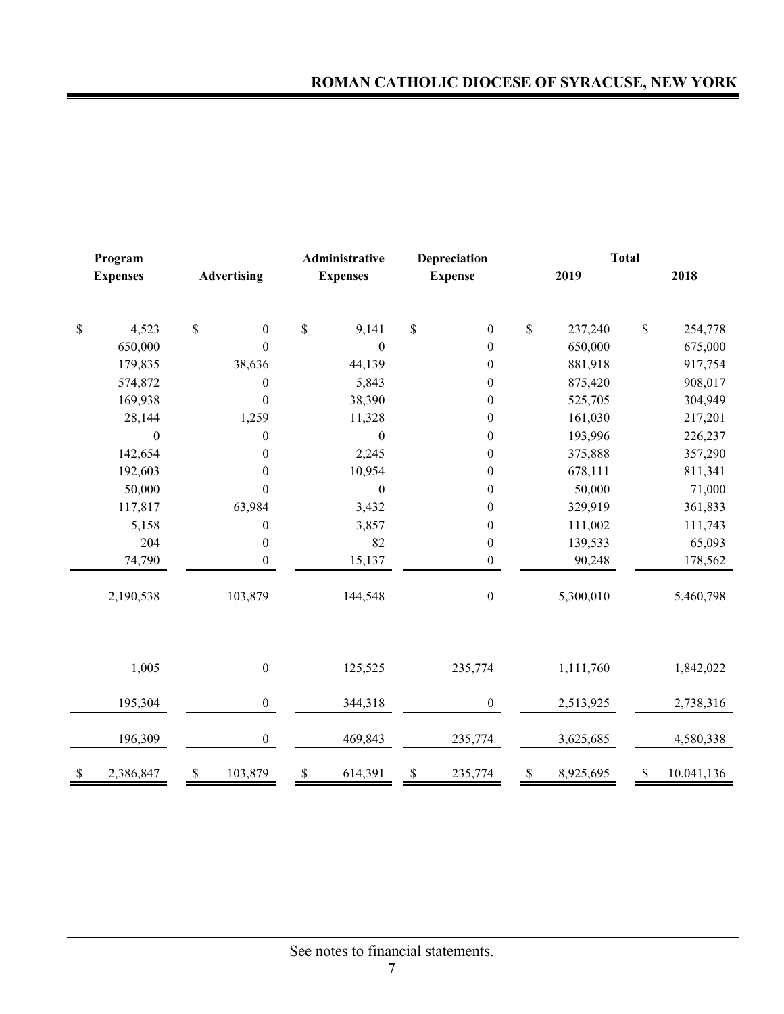|              | Program          |    |                    |    | Administrative   | Depreciation |                  |             |           | <b>Total</b> |            |
|--------------|------------------|----|--------------------|----|------------------|--------------|------------------|-------------|-----------|--------------|------------|
|              | <b>Expenses</b>  |    | <b>Advertising</b> |    | <b>Expenses</b>  |              | <b>Expense</b>   |             | 2019      |              | 2018       |
| $\mathbb{S}$ | 4,523            | \$ | $\boldsymbol{0}$   | \$ | 9,141            | \$           | $\boldsymbol{0}$ | \$          | 237,240   | $\mathbb S$  | 254,778    |
|              | 650,000          |    | $\boldsymbol{0}$   |    | $\boldsymbol{0}$ |              | $\boldsymbol{0}$ |             | 650,000   |              | 675,000    |
|              | 179,835          |    | 38,636             |    | 44,139           |              | $\boldsymbol{0}$ |             | 881,918   |              | 917,754    |
|              | 574,872          |    | $\boldsymbol{0}$   |    | 5,843            |              | $\boldsymbol{0}$ |             | 875,420   |              | 908,017    |
|              | 169,938          |    | $\boldsymbol{0}$   |    | 38,390           |              | $\boldsymbol{0}$ |             | 525,705   |              | 304,949    |
|              | 28,144           |    | 1,259              |    | 11,328           |              | $\boldsymbol{0}$ |             | 161,030   |              | 217,201    |
|              | $\boldsymbol{0}$ |    | $\boldsymbol{0}$   |    | $\boldsymbol{0}$ |              | $\boldsymbol{0}$ |             | 193,996   |              | 226,237    |
|              | 142,654          |    | $\boldsymbol{0}$   |    | 2,245            |              | $\boldsymbol{0}$ |             | 375,888   |              | 357,290    |
|              | 192,603          |    | $\boldsymbol{0}$   |    | 10,954           |              | $\boldsymbol{0}$ |             | 678,111   |              | 811,341    |
|              | 50,000           |    | $\boldsymbol{0}$   |    | $\boldsymbol{0}$ |              | $\boldsymbol{0}$ |             | 50,000    |              | 71,000     |
|              | 117,817          |    | 63,984             |    | 3,432            |              | $\boldsymbol{0}$ |             | 329,919   |              | 361,833    |
|              | 5,158            |    | $\boldsymbol{0}$   |    | 3,857            |              | $\boldsymbol{0}$ |             | 111,002   |              | 111,743    |
|              | 204              |    | $\boldsymbol{0}$   |    | 82               |              | $\boldsymbol{0}$ |             | 139,533   |              | 65,093     |
|              | 74,790           |    | $\mathbf{0}$       |    | 15,137           |              | $\boldsymbol{0}$ |             | 90,248    |              | 178,562    |
|              | 2,190,538        |    | 103,879            |    | 144,548          |              | $\boldsymbol{0}$ |             | 5,300,010 |              | 5,460,798  |
|              | 1,005            |    | $\boldsymbol{0}$   |    | 125,525          |              | 235,774          |             | 1,111,760 |              | 1,842,022  |
|              | 195,304          |    | $\boldsymbol{0}$   |    | 344,318          |              | $\overline{0}$   |             | 2,513,925 |              | 2,738,316  |
|              | 196,309          |    | $\boldsymbol{0}$   |    | 469,843          |              | 235,774          |             | 3,625,685 |              | 4,580,338  |
| $\mathbb{S}$ | 2,386,847        | \$ | 103,879            | \$ | 614,391          | \$           | 235,774          | $\mathbb S$ | 8,925,695 | \$           | 10,041,136 |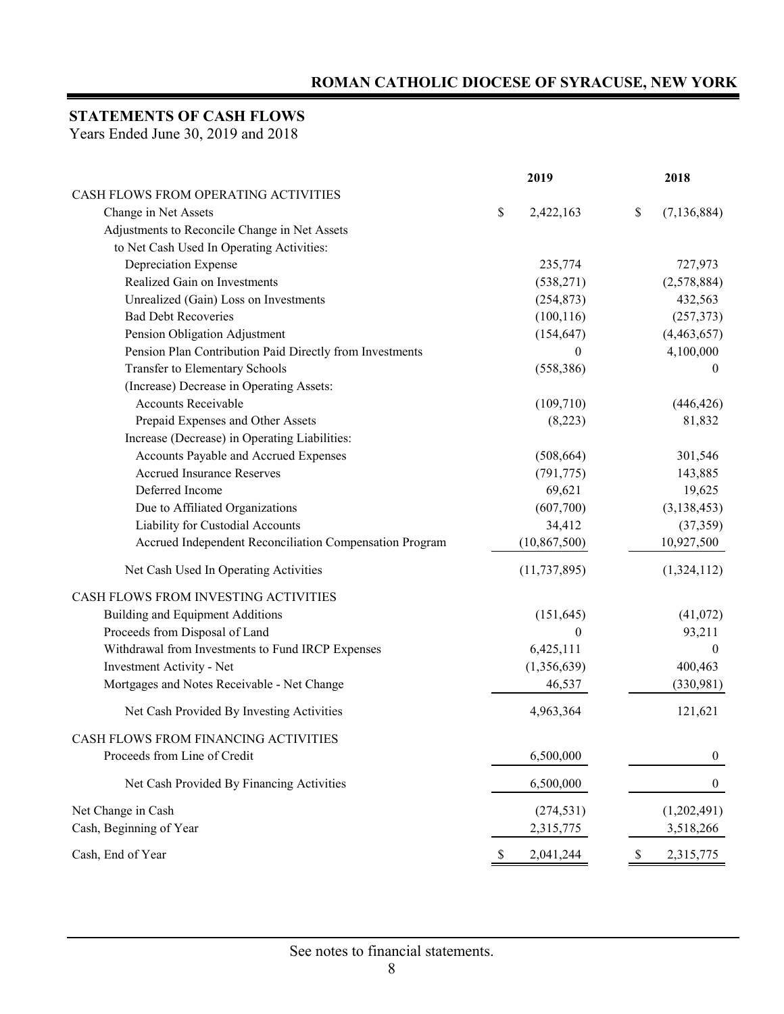## **STATEMENTS OF CASH FLOWS**

Years Ended June 30, 2019 and 2018

|                                                          |    | 2019           |    | 2018             |
|----------------------------------------------------------|----|----------------|----|------------------|
| CASH FLOWS FROM OPERATING ACTIVITIES                     |    |                |    |                  |
| Change in Net Assets                                     | \$ | 2,422,163      | \$ | (7, 136, 884)    |
| Adjustments to Reconcile Change in Net Assets            |    |                |    |                  |
| to Net Cash Used In Operating Activities:                |    |                |    |                  |
| Depreciation Expense                                     |    | 235,774        |    | 727,973          |
| Realized Gain on Investments                             |    | (538, 271)     |    | (2,578,884)      |
| Unrealized (Gain) Loss on Investments                    |    | (254, 873)     |    | 432,563          |
| <b>Bad Debt Recoveries</b>                               |    | (100, 116)     |    | (257, 373)       |
| Pension Obligation Adjustment                            |    | (154, 647)     |    | (4,463,657)      |
| Pension Plan Contribution Paid Directly from Investments |    | $\mathbf{0}$   |    | 4,100,000        |
| Transfer to Elementary Schools                           |    | (558, 386)     |    | $\boldsymbol{0}$ |
| (Increase) Decrease in Operating Assets:                 |    |                |    |                  |
| Accounts Receivable                                      |    | (109,710)      |    | (446, 426)       |
| Prepaid Expenses and Other Assets                        |    | (8,223)        |    | 81,832           |
| Increase (Decrease) in Operating Liabilities:            |    |                |    |                  |
| Accounts Payable and Accrued Expenses                    |    | (508, 664)     |    | 301,546          |
| <b>Accrued Insurance Reserves</b>                        |    | (791, 775)     |    | 143,885          |
| Deferred Income                                          |    | 69,621         |    | 19,625           |
| Due to Affiliated Organizations                          |    | (607,700)      |    | (3, 138, 453)    |
| Liability for Custodial Accounts                         |    | 34,412         |    | (37, 359)        |
| Accrued Independent Reconciliation Compensation Program  |    | (10, 867, 500) |    | 10,927,500       |
| Net Cash Used In Operating Activities                    |    | (11, 737, 895) |    | (1,324,112)      |
| CASH FLOWS FROM INVESTING ACTIVITIES                     |    |                |    |                  |
| Building and Equipment Additions                         |    | (151, 645)     |    | (41,072)         |
| Proceeds from Disposal of Land                           |    | $\theta$       |    | 93,211           |
| Withdrawal from Investments to Fund IRCP Expenses        |    | 6,425,111      |    | $\mathbf{0}$     |
| Investment Activity - Net                                |    | (1,356,639)    |    | 400,463          |
| Mortgages and Notes Receivable - Net Change              |    | 46,537         |    | (330,981)        |
| Net Cash Provided By Investing Activities                |    | 4,963,364      |    | 121,621          |
| CASH FLOWS FROM FINANCING ACTIVITIES                     |    |                |    |                  |
| Proceeds from Line of Credit                             |    | 6,500,000      |    | $\boldsymbol{0}$ |
| Net Cash Provided By Financing Activities                |    | 6,500,000      |    | $\boldsymbol{0}$ |
| Net Change in Cash                                       |    | (274, 531)     |    | (1,202,491)      |
| Cash, Beginning of Year                                  |    | 2,315,775      |    | 3,518,266        |
| Cash, End of Year                                        | Y  | 2,041,244      | P  | 2,315,775        |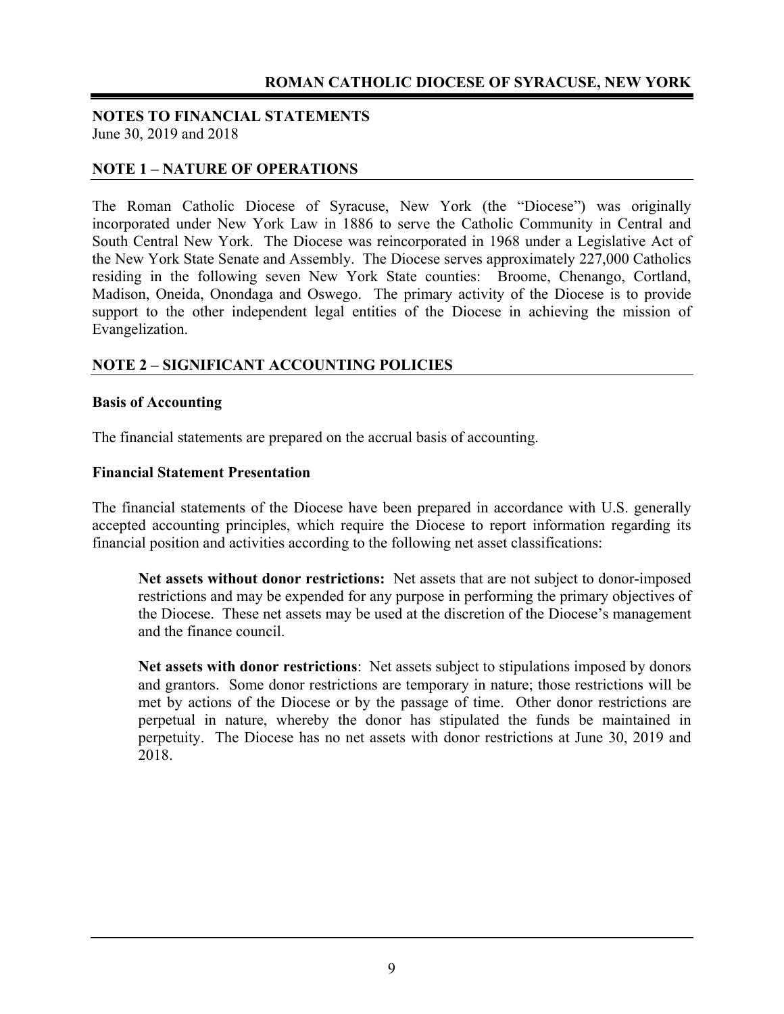#### **NOTES TO FINANCIAL STATEMENTS**  June 30, 2019 and 2018

#### **NOTE 1 – NATURE OF OPERATIONS**

The Roman Catholic Diocese of Syracuse, New York (the "Diocese") was originally incorporated under New York Law in 1886 to serve the Catholic Community in Central and South Central New York. The Diocese was reincorporated in 1968 under a Legislative Act of the New York State Senate and Assembly. The Diocese serves approximately 227,000 Catholics residing in the following seven New York State counties: Broome, Chenango, Cortland, Madison, Oneida, Onondaga and Oswego. The primary activity of the Diocese is to provide support to the other independent legal entities of the Diocese in achieving the mission of Evangelization.

#### **NOTE 2 – SIGNIFICANT ACCOUNTING POLICIES**

#### **Basis of Accounting**

The financial statements are prepared on the accrual basis of accounting.

#### **Financial Statement Presentation**

The financial statements of the Diocese have been prepared in accordance with U.S. generally accepted accounting principles, which require the Diocese to report information regarding its financial position and activities according to the following net asset classifications:

**Net assets without donor restrictions:** Net assets that are not subject to donor-imposed restrictions and may be expended for any purpose in performing the primary objectives of the Diocese. These net assets may be used at the discretion of the Diocese's management and the finance council.

**Net assets with donor restrictions**: Net assets subject to stipulations imposed by donors and grantors. Some donor restrictions are temporary in nature; those restrictions will be met by actions of the Diocese or by the passage of time. Other donor restrictions are perpetual in nature, whereby the donor has stipulated the funds be maintained in perpetuity. The Diocese has no net assets with donor restrictions at June 30, 2019 and 2018.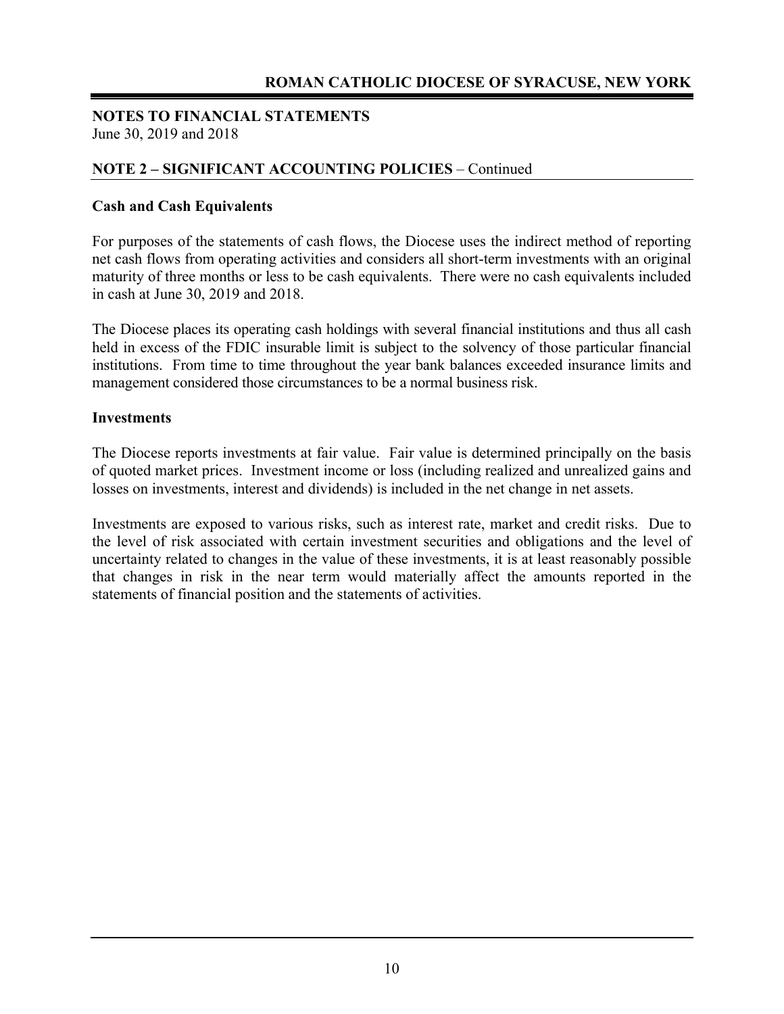#### **NOTES TO FINANCIAL STATEMENTS**  June 30, 2019 and 2018

#### **NOTE 2 – SIGNIFICANT ACCOUNTING POLICIES** – Continued

#### **Cash and Cash Equivalents**

For purposes of the statements of cash flows, the Diocese uses the indirect method of reporting net cash flows from operating activities and considers all short-term investments with an original maturity of three months or less to be cash equivalents. There were no cash equivalents included in cash at June 30, 2019 and 2018.

The Diocese places its operating cash holdings with several financial institutions and thus all cash held in excess of the FDIC insurable limit is subject to the solvency of those particular financial institutions. From time to time throughout the year bank balances exceeded insurance limits and management considered those circumstances to be a normal business risk.

#### **Investments**

The Diocese reports investments at fair value. Fair value is determined principally on the basis of quoted market prices. Investment income or loss (including realized and unrealized gains and losses on investments, interest and dividends) is included in the net change in net assets.

Investments are exposed to various risks, such as interest rate, market and credit risks. Due to the level of risk associated with certain investment securities and obligations and the level of uncertainty related to changes in the value of these investments, it is at least reasonably possible that changes in risk in the near term would materially affect the amounts reported in the statements of financial position and the statements of activities.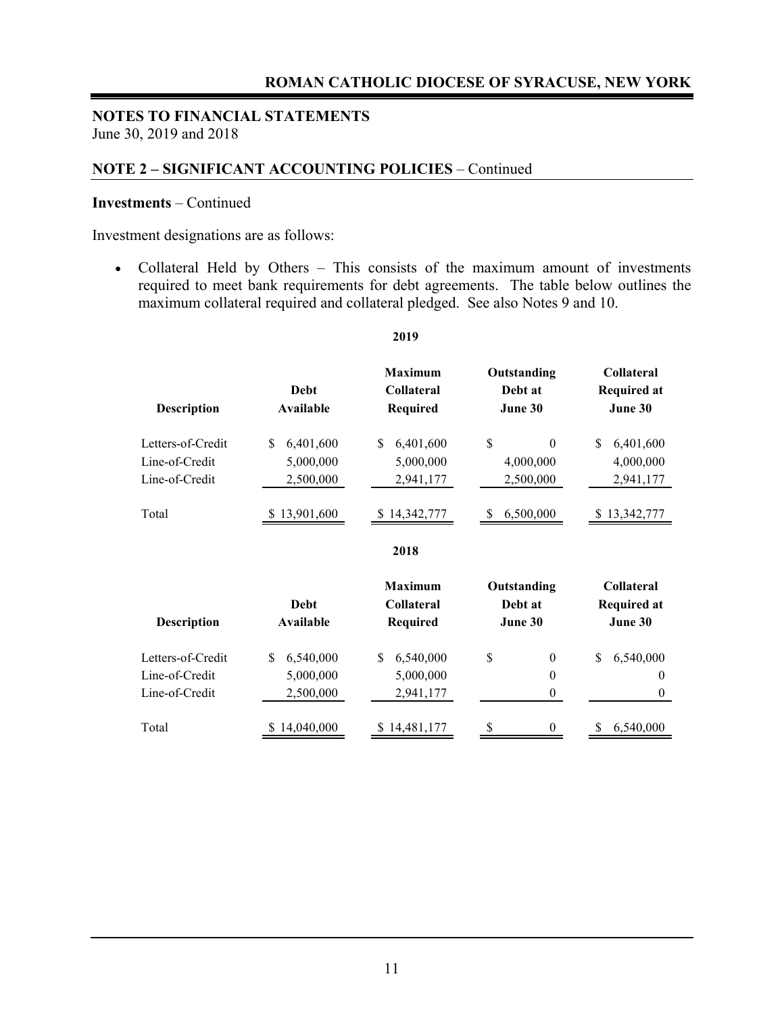#### **NOTE 2 – SIGNIFICANT ACCOUNTING POLICIES** – Continued

#### **Investments** – Continued

Investment designations are as follows:

 Collateral Held by Others – This consists of the maximum amount of investments required to meet bank requirements for debt agreements. The table below outlines the maximum collateral required and collateral pledged. See also Notes 9 and 10.

| <b>Description</b>                                    | Debt<br>Available                         | <b>Maximum</b><br><b>Collateral</b><br><b>Required</b> | Outstanding<br>Debt at<br>June 30                          | Collateral<br><b>Required at</b><br>June 30        |  |  |
|-------------------------------------------------------|-------------------------------------------|--------------------------------------------------------|------------------------------------------------------------|----------------------------------------------------|--|--|
| Letters-of-Credit<br>Line-of-Credit<br>Line-of-Credit | 6,401,600<br>\$<br>5,000,000<br>2,500,000 | 6,401,600<br>\$<br>5,000,000<br>2,941,177              | \$<br>$\Omega$<br>4,000,000<br>2,500,000                   | \$<br>6,401,600<br>4,000,000<br>2,941,177          |  |  |
| Total                                                 | \$13,901,600                              | 14,342,777                                             | 6,500,000<br>-S                                            | \$13,342,777                                       |  |  |
|                                                       |                                           | 2018                                                   |                                                            |                                                    |  |  |
| <b>Description</b>                                    | Debt<br>Available                         | <b>Maximum</b><br><b>Collateral</b><br><b>Required</b> | Outstanding<br>Debt at<br>June 30                          | <b>Collateral</b><br><b>Required at</b><br>June 30 |  |  |
| Letters-of-Credit<br>Line-of-Credit<br>Line-of-Credit | 6,540,000<br>\$<br>5,000,000<br>2,500,000 | 6,540,000<br>\$<br>5,000,000<br>2,941,177              | \$<br>$\boldsymbol{0}$<br>$\boldsymbol{0}$<br>$\mathbf{0}$ | 6,540,000<br>\$<br>$\theta$<br>$\mathbf{0}$        |  |  |
| Total                                                 | 14,040,000                                | 14,481,177                                             | 0                                                          | 6,540,000                                          |  |  |

#### **2019**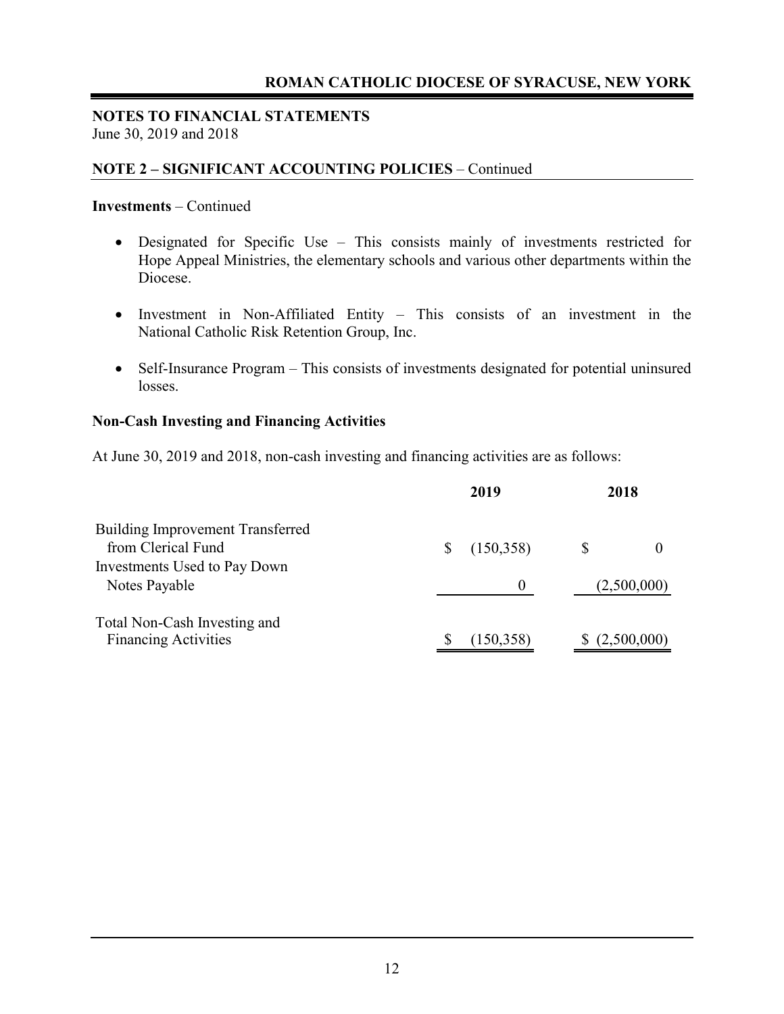#### **NOTES TO FINANCIAL STATEMENTS**  June 30, 2019 and 2018

#### **NOTE 2 – SIGNIFICANT ACCOUNTING POLICIES** – Continued

#### **Investments** – Continued

- Designated for Specific Use This consists mainly of investments restricted for Hope Appeal Ministries, the elementary schools and various other departments within the Diocese.
- Investment in Non-Affiliated Entity This consists of an investment in the National Catholic Risk Retention Group, Inc.
- Self-Insurance Program This consists of investments designated for potential uninsured losses.

#### **Non-Cash Investing and Financing Activities**

At June 30, 2019 and 2018, non-cash investing and financing activities are as follows:

|                                                               | 2019       | 2018 |             |  |
|---------------------------------------------------------------|------------|------|-------------|--|
| <b>Building Improvement Transferred</b><br>from Clerical Fund | (150,358)  |      |             |  |
| Investments Used to Pay Down<br>Notes Payable                 | $\theta$   |      | (2,500,000) |  |
| Total Non-Cash Investing and<br><b>Financing Activities</b>   | (150, 358) |      | (2,500,000) |  |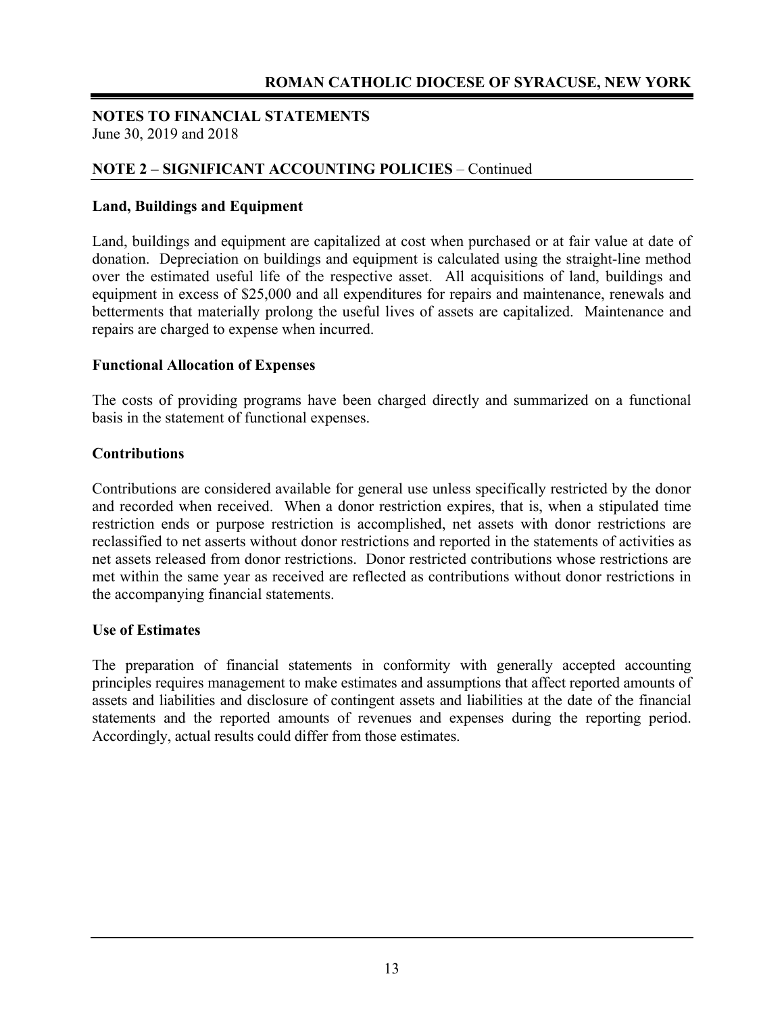#### **NOTE 2 – SIGNIFICANT ACCOUNTING POLICIES** – Continued

#### **Land, Buildings and Equipment**

Land, buildings and equipment are capitalized at cost when purchased or at fair value at date of donation. Depreciation on buildings and equipment is calculated using the straight-line method over the estimated useful life of the respective asset. All acquisitions of land, buildings and equipment in excess of \$25,000 and all expenditures for repairs and maintenance, renewals and betterments that materially prolong the useful lives of assets are capitalized. Maintenance and repairs are charged to expense when incurred.

#### **Functional Allocation of Expenses**

The costs of providing programs have been charged directly and summarized on a functional basis in the statement of functional expenses.

#### **Contributions**

Contributions are considered available for general use unless specifically restricted by the donor and recorded when received. When a donor restriction expires, that is, when a stipulated time restriction ends or purpose restriction is accomplished, net assets with donor restrictions are reclassified to net asserts without donor restrictions and reported in the statements of activities as net assets released from donor restrictions. Donor restricted contributions whose restrictions are met within the same year as received are reflected as contributions without donor restrictions in the accompanying financial statements.

#### **Use of Estimates**

The preparation of financial statements in conformity with generally accepted accounting principles requires management to make estimates and assumptions that affect reported amounts of assets and liabilities and disclosure of contingent assets and liabilities at the date of the financial statements and the reported amounts of revenues and expenses during the reporting period. Accordingly, actual results could differ from those estimates.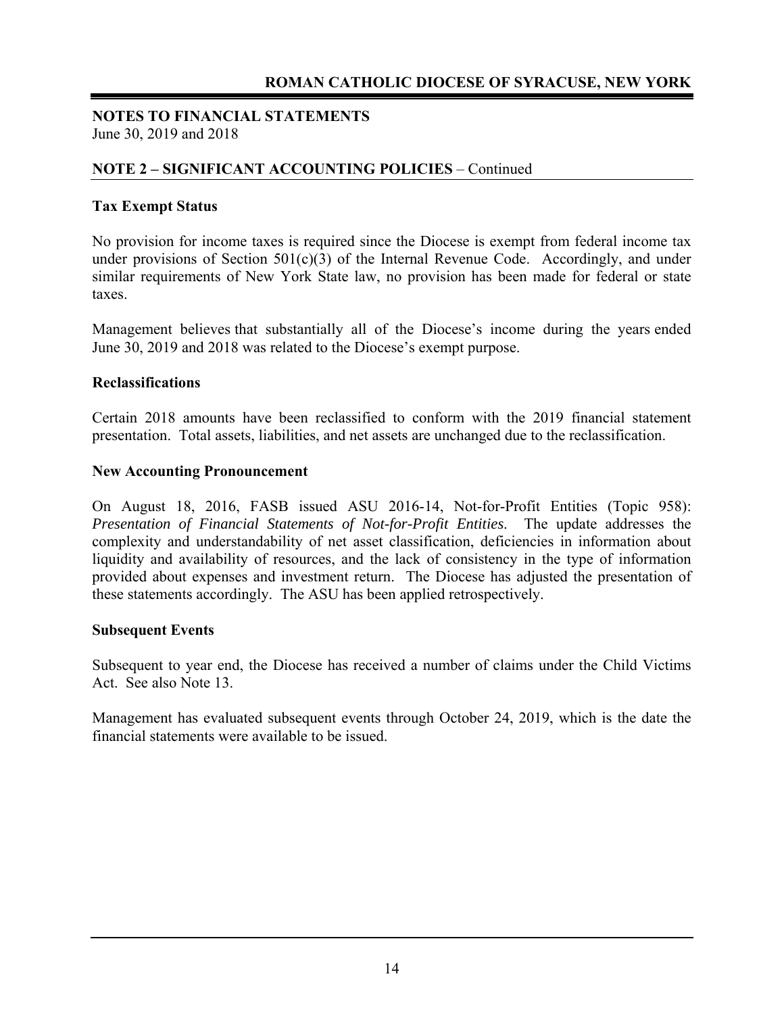#### **NOTES TO FINANCIAL STATEMENTS**  June 30, 2019 and 2018

#### **NOTE 2 – SIGNIFICANT ACCOUNTING POLICIES** – Continued

#### **Tax Exempt Status**

No provision for income taxes is required since the Diocese is exempt from federal income tax under provisions of Section  $501(c)(3)$  of the Internal Revenue Code. Accordingly, and under similar requirements of New York State law, no provision has been made for federal or state taxes.

Management believes that substantially all of the Diocese's income during the years ended June 30, 2019 and 2018 was related to the Diocese's exempt purpose.

#### **Reclassifications**

Certain 2018 amounts have been reclassified to conform with the 2019 financial statement presentation. Total assets, liabilities, and net assets are unchanged due to the reclassification.

#### **New Accounting Pronouncement**

On August 18, 2016, FASB issued ASU 2016-14, Not-for-Profit Entities (Topic 958): *Presentation of Financial Statements of Not-for-Profit Entities*. The update addresses the complexity and understandability of net asset classification, deficiencies in information about liquidity and availability of resources, and the lack of consistency in the type of information provided about expenses and investment return. The Diocese has adjusted the presentation of these statements accordingly. The ASU has been applied retrospectively.

#### **Subsequent Events**

Subsequent to year end, the Diocese has received a number of claims under the Child Victims Act. See also Note 13.

Management has evaluated subsequent events through October 24, 2019, which is the date the financial statements were available to be issued.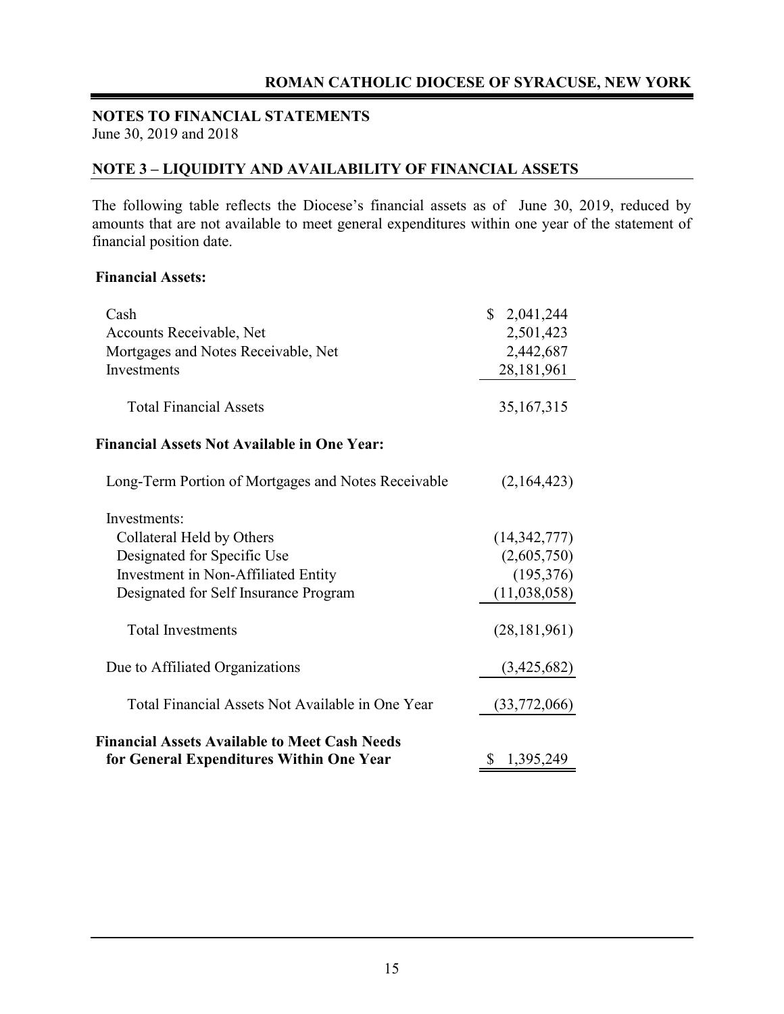#### **NOTE 3 – LIQUIDITY AND AVAILABILITY OF FINANCIAL ASSETS**

The following table reflects the Diocese's financial assets as of June 30, 2019, reduced by amounts that are not available to meet general expenditures within one year of the statement of financial position date.

#### **Financial Assets:**

| Cash                                                 | \$2,041,244    |
|------------------------------------------------------|----------------|
| Accounts Receivable, Net                             | 2,501,423      |
| Mortgages and Notes Receivable, Net                  | 2,442,687      |
| Investments                                          | 28,181,961     |
| <b>Total Financial Assets</b>                        | 35, 167, 315   |
| <b>Financial Assets Not Available in One Year:</b>   |                |
| Long-Term Portion of Mortgages and Notes Receivable  | (2,164,423)    |
| Investments:                                         |                |
| Collateral Held by Others                            | (14,342,777)   |
| Designated for Specific Use                          | (2,605,750)    |
| Investment in Non-Affiliated Entity                  | (195,376)      |
| Designated for Self Insurance Program                | (11,038,058)   |
| <b>Total Investments</b>                             | (28, 181, 961) |
| Due to Affiliated Organizations                      | (3,425,682)    |
| Total Financial Assets Not Available in One Year     | (33,772,066)   |
| <b>Financial Assets Available to Meet Cash Needs</b> |                |
| for General Expenditures Within One Year             | \$1,395,249    |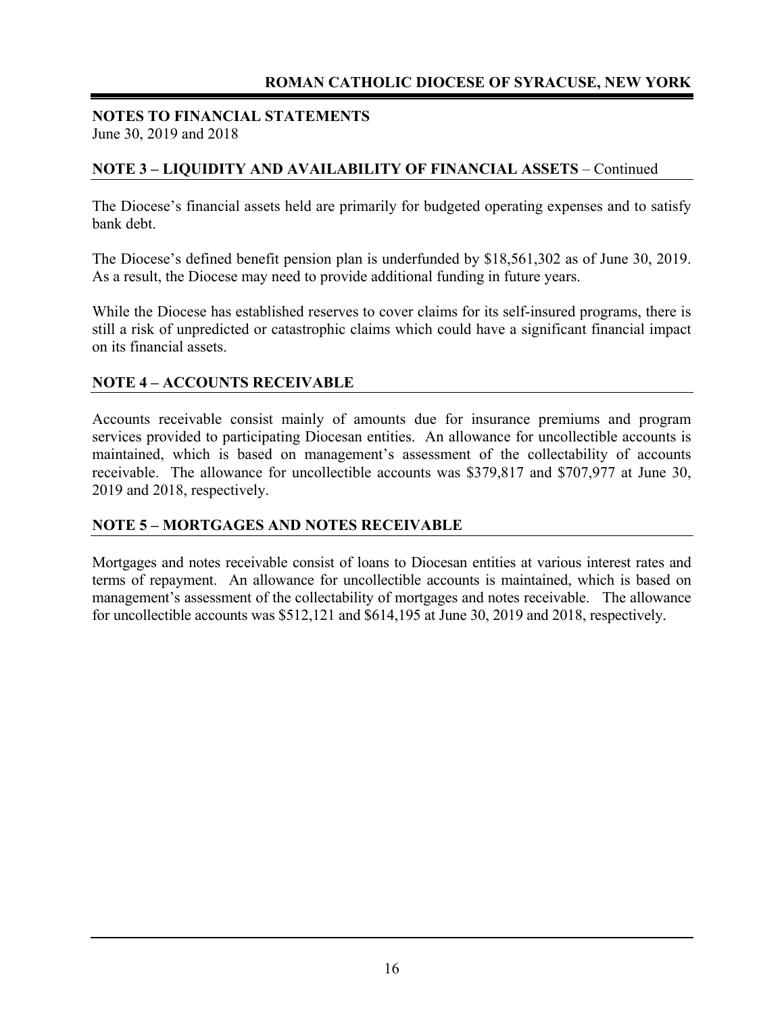#### **NOTES TO FINANCIAL STATEMENTS**  June 30, 2019 and 2018

#### **NOTE 3 – LIQUIDITY AND AVAILABILITY OF FINANCIAL ASSETS** – Continued

The Diocese's financial assets held are primarily for budgeted operating expenses and to satisfy bank debt.

The Diocese's defined benefit pension plan is underfunded by \$18,561,302 as of June 30, 2019. As a result, the Diocese may need to provide additional funding in future years.

While the Diocese has established reserves to cover claims for its self-insured programs, there is still a risk of unpredicted or catastrophic claims which could have a significant financial impact on its financial assets.

#### **NOTE 4 – ACCOUNTS RECEIVABLE**

Accounts receivable consist mainly of amounts due for insurance premiums and program services provided to participating Diocesan entities. An allowance for uncollectible accounts is maintained, which is based on management's assessment of the collectability of accounts receivable. The allowance for uncollectible accounts was \$379,817 and \$707,977 at June 30, 2019 and 2018, respectively.

#### **NOTE 5 – MORTGAGES AND NOTES RECEIVABLE**

Mortgages and notes receivable consist of loans to Diocesan entities at various interest rates and terms of repayment. An allowance for uncollectible accounts is maintained, which is based on management's assessment of the collectability of mortgages and notes receivable. The allowance for uncollectible accounts was \$512,121 and \$614,195 at June 30, 2019 and 2018, respectively.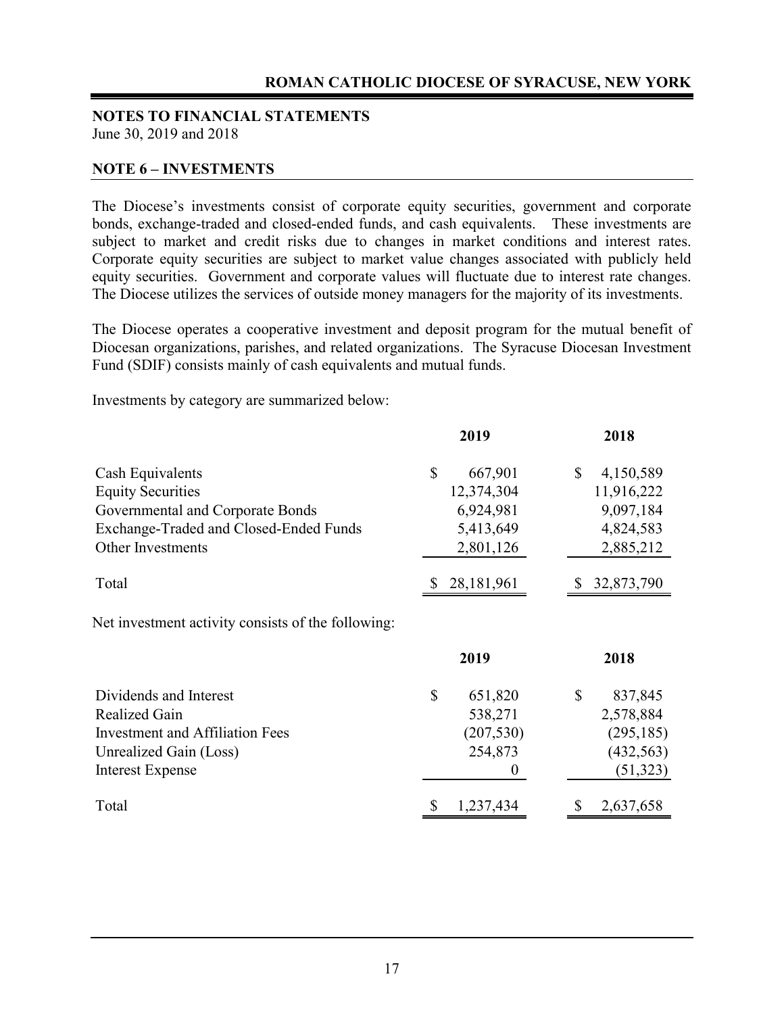#### **NOTES TO FINANCIAL STATEMENTS**  June 30, 2019 and 2018

#### **NOTE 6 – INVESTMENTS**

The Diocese's investments consist of corporate equity securities, government and corporate bonds, exchange-traded and closed-ended funds, and cash equivalents. These investments are subject to market and credit risks due to changes in market conditions and interest rates. Corporate equity securities are subject to market value changes associated with publicly held equity securities. Government and corporate values will fluctuate due to interest rate changes. The Diocese utilizes the services of outside money managers for the majority of its investments.

The Diocese operates a cooperative investment and deposit program for the mutual benefit of Diocesan organizations, parishes, and related organizations. The Syracuse Diocesan Investment Fund (SDIF) consists mainly of cash equivalents and mutual funds.

Investments by category are summarized below:

|                                                    |              | 2019             | 2018            |
|----------------------------------------------------|--------------|------------------|-----------------|
| Cash Equivalents                                   | $\mathbb{S}$ | 667,901          | \$<br>4,150,589 |
| <b>Equity Securities</b>                           |              | 12,374,304       | 11,916,222      |
| Governmental and Corporate Bonds                   |              | 6,924,981        | 9,097,184       |
| Exchange-Traded and Closed-Ended Funds             |              | 5,413,649        | 4,824,583       |
| <b>Other Investments</b>                           |              | 2,801,126        | 2,885,212       |
| Total                                              |              | 28,181,961       | 32,873,790      |
| Net investment activity consists of the following: |              | 2019             | 2018            |
| Dividends and Interest                             | \$           | 651,820          | \$<br>837,845   |
| Realized Gain                                      |              | 538,271          | 2,578,884       |
| <b>Investment and Affiliation Fees</b>             |              | (207, 530)       | (295, 185)      |
| Unrealized Gain (Loss)                             |              | 254,873          | (432, 563)      |
| <b>Interest Expense</b>                            |              | $\boldsymbol{0}$ | (51, 323)       |
| Total                                              |              | 1,237,434        | 2,637,658       |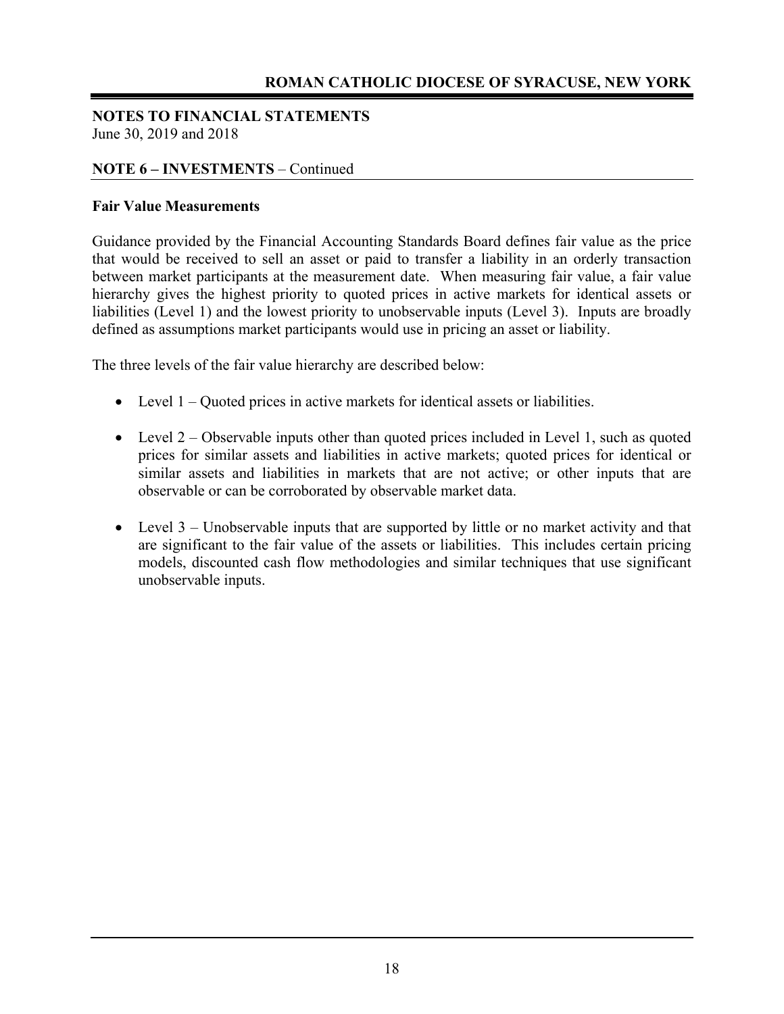#### **NOTES TO FINANCIAL STATEMENTS**  June 30, 2019 and 2018

#### **NOTE 6 – INVESTMENTS** – Continued

#### **Fair Value Measurements**

Guidance provided by the Financial Accounting Standards Board defines fair value as the price that would be received to sell an asset or paid to transfer a liability in an orderly transaction between market participants at the measurement date. When measuring fair value, a fair value hierarchy gives the highest priority to quoted prices in active markets for identical assets or liabilities (Level 1) and the lowest priority to unobservable inputs (Level 3). Inputs are broadly defined as assumptions market participants would use in pricing an asset or liability.

The three levels of the fair value hierarchy are described below:

- Level 1 Quoted prices in active markets for identical assets or liabilities.
- Level  $2$  Observable inputs other than quoted prices included in Level 1, such as quoted prices for similar assets and liabilities in active markets; quoted prices for identical or similar assets and liabilities in markets that are not active; or other inputs that are observable or can be corroborated by observable market data.
- Level 3 Unobservable inputs that are supported by little or no market activity and that are significant to the fair value of the assets or liabilities. This includes certain pricing models, discounted cash flow methodologies and similar techniques that use significant unobservable inputs.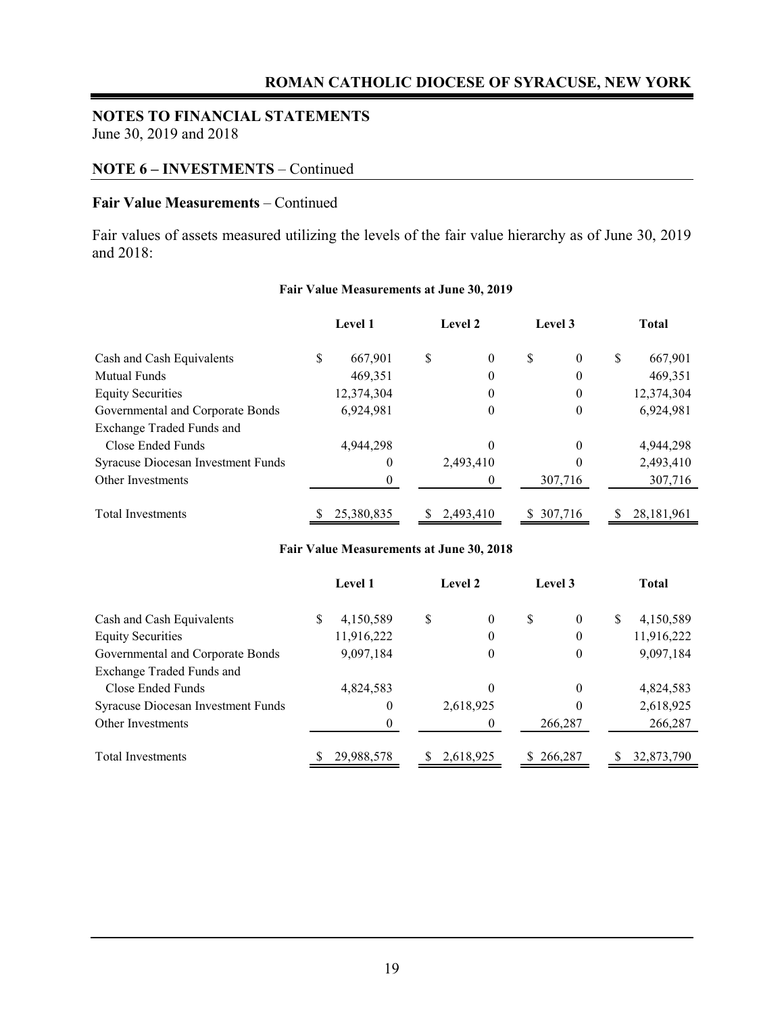## **NOTES TO FINANCIAL STATEMENTS**

June 30, 2019 and 2018

#### **NOTE 6 – INVESTMENTS** – Continued

#### **Fair Value Measurements** – Continued

Fair values of assets measured utilizing the levels of the fair value hierarchy as of June 30, 2019 and 2018:

|                                    | <b>Level 1</b> |   | Level 2   | Level 3              |   | <b>Total</b> |
|------------------------------------|----------------|---|-----------|----------------------|---|--------------|
| Cash and Cash Equivalents          | \$<br>667.901  | S | $\theta$  | \$<br>$\overline{0}$ | S | 667,901      |
| <b>Mutual Funds</b>                | 469,351        |   | 0         | $\boldsymbol{0}$     |   | 469,351      |
| <b>Equity Securities</b>           | 12,374,304     |   | 0         | $\theta$             |   | 12,374,304   |
| Governmental and Corporate Bonds   | 6,924,981      |   | 0         | $\boldsymbol{0}$     |   | 6,924,981    |
| Exchange Traded Funds and          |                |   |           |                      |   |              |
| Close Ended Funds                  | 4,944,298      |   | 0         | $\theta$             |   | 4,944,298    |
| Syracuse Diocesan Investment Funds | $\theta$       |   | 2,493,410 | $\theta$             |   | 2,493,410    |
| Other Investments                  |                |   |           | 307,716              |   | 307,716      |
| <b>Total Investments</b>           | 25,380,835     | S | 2.493.410 | \$ 307,716           |   | 28, 181, 961 |

#### **Fair Value Measurements at June 30, 2019**

#### **Fair Value Measurements at June 30, 2018**

|                                    | Level 1         | Level 2        | Level 3   |          | Total           |
|------------------------------------|-----------------|----------------|-----------|----------|-----------------|
| Cash and Cash Equivalents          | \$<br>4,150,589 | \$<br>$\theta$ | S         | $\theta$ | \$<br>4,150,589 |
| <b>Equity Securities</b>           | 11,916,222      | 0              |           | $\theta$ | 11,916,222      |
| Governmental and Corporate Bonds   | 9,097,184       | 0              |           | 0        | 9,097,184       |
| Exchange Traded Funds and          |                 |                |           |          |                 |
| Close Ended Funds                  | 4,824,583       | 0              |           | $\theta$ | 4,824,583       |
| Syracuse Diocesan Investment Funds | 0               | 2,618,925      |           | $\theta$ | 2,618,925       |
| Other Investments                  | 0               |                |           | 266,287  | 266,287         |
| Total Investments                  | 29,988,578      | 2,618,925      | \$266,287 |          | 32,873,790      |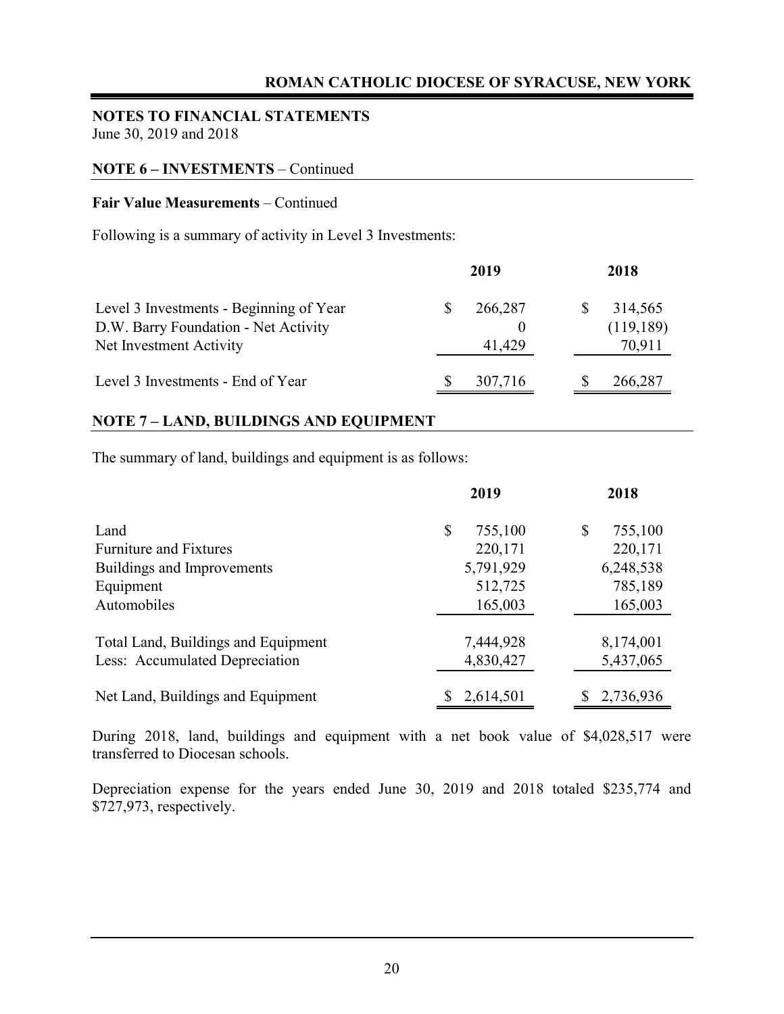#### **NOTES TO FINANCIAL STATEMENTS**  June 30, 2019 and 2018

#### **NOTE 6 – INVESTMENTS** – Continued

#### **Fair Value Measurements** – Continued

Following is a summary of activity in Level 3 Investments:

|                                                                                                            | 2019              | 2018                            |
|------------------------------------------------------------------------------------------------------------|-------------------|---------------------------------|
| Level 3 Investments - Beginning of Year<br>D.W. Barry Foundation - Net Activity<br>Net Investment Activity | 266,287<br>41,429 | 314,565<br>(119, 189)<br>70,911 |
| Level 3 Investments - End of Year                                                                          | 307,716           | 266,287                         |

#### **NOTE 7 – LAND, BUILDINGS AND EQUIPMENT**

The summary of land, buildings and equipment is as follows:

|                                     | 2019          | 2018          |
|-------------------------------------|---------------|---------------|
| Land                                | \$<br>755,100 | \$<br>755,100 |
| <b>Furniture and Fixtures</b>       | 220,171       | 220,171       |
| Buildings and Improvements          | 5,791,929     | 6,248,538     |
| Equipment                           | 512,725       | 785,189       |
| Automobiles                         | 165,003       | 165,003       |
| Total Land, Buildings and Equipment | 7,444,928     | 8,174,001     |
| Less: Accumulated Depreciation      | 4,830,427     | 5,437,065     |
| Net Land, Buildings and Equipment   | 2,614,501     | 2,736,936     |

During 2018, land, buildings and equipment with a net book value of \$4,028,517 were transferred to Diocesan schools.

Depreciation expense for the years ended June 30, 2019 and 2018 totaled \$235,774 and \$727,973, respectively.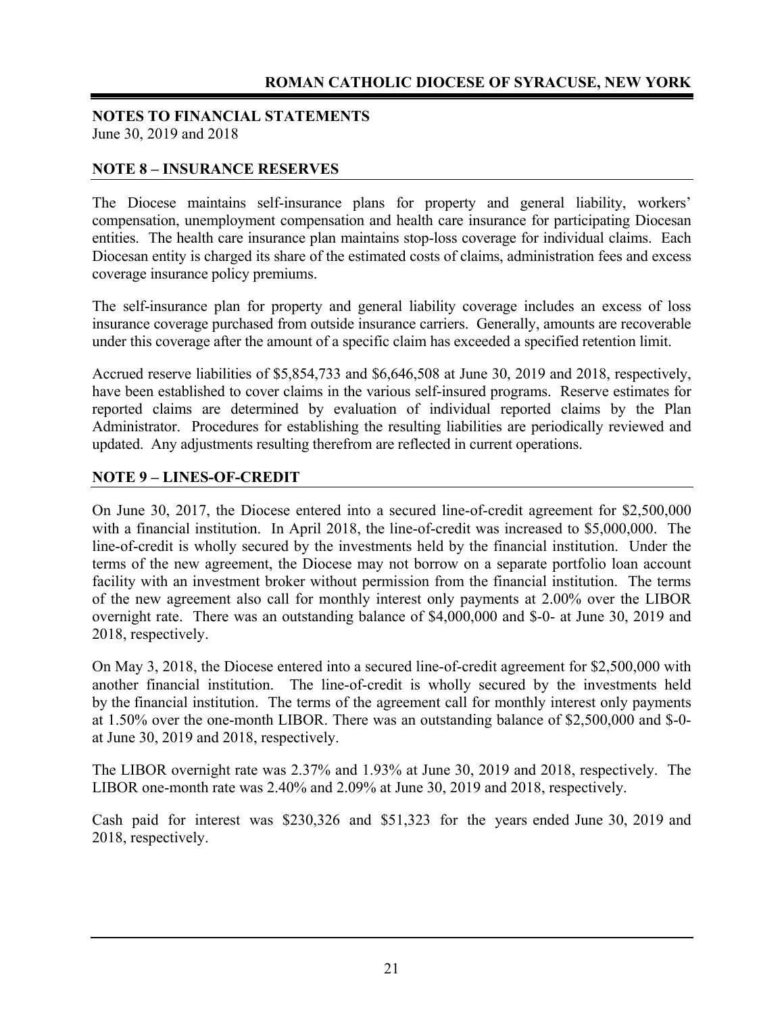#### **NOTE 8 – INSURANCE RESERVES**

The Diocese maintains self-insurance plans for property and general liability, workers' compensation, unemployment compensation and health care insurance for participating Diocesan entities. The health care insurance plan maintains stop-loss coverage for individual claims. Each Diocesan entity is charged its share of the estimated costs of claims, administration fees and excess coverage insurance policy premiums.

The self-insurance plan for property and general liability coverage includes an excess of loss insurance coverage purchased from outside insurance carriers. Generally, amounts are recoverable under this coverage after the amount of a specific claim has exceeded a specified retention limit.

Accrued reserve liabilities of \$5,854,733 and \$6,646,508 at June 30, 2019 and 2018, respectively, have been established to cover claims in the various self-insured programs. Reserve estimates for reported claims are determined by evaluation of individual reported claims by the Plan Administrator. Procedures for establishing the resulting liabilities are periodically reviewed and updated. Any adjustments resulting therefrom are reflected in current operations.

#### **NOTE 9 – LINES-OF-CREDIT**

On June 30, 2017, the Diocese entered into a secured line-of-credit agreement for \$2,500,000 with a financial institution. In April 2018, the line-of-credit was increased to \$5,000,000. The line-of-credit is wholly secured by the investments held by the financial institution. Under the terms of the new agreement, the Diocese may not borrow on a separate portfolio loan account facility with an investment broker without permission from the financial institution. The terms of the new agreement also call for monthly interest only payments at 2.00% over the LIBOR overnight rate. There was an outstanding balance of \$4,000,000 and \$-0- at June 30, 2019 and 2018, respectively.

On May 3, 2018, the Diocese entered into a secured line-of-credit agreement for \$2,500,000 with another financial institution. The line-of-credit is wholly secured by the investments held by the financial institution. The terms of the agreement call for monthly interest only payments at 1.50% over the one-month LIBOR. There was an outstanding balance of \$2,500,000 and \$-0 at June 30, 2019 and 2018, respectively.

The LIBOR overnight rate was 2.37% and 1.93% at June 30, 2019 and 2018, respectively. The LIBOR one-month rate was 2.40% and 2.09% at June 30, 2019 and 2018, respectively.

Cash paid for interest was \$230,326 and \$51,323 for the years ended June 30, 2019 and 2018, respectively.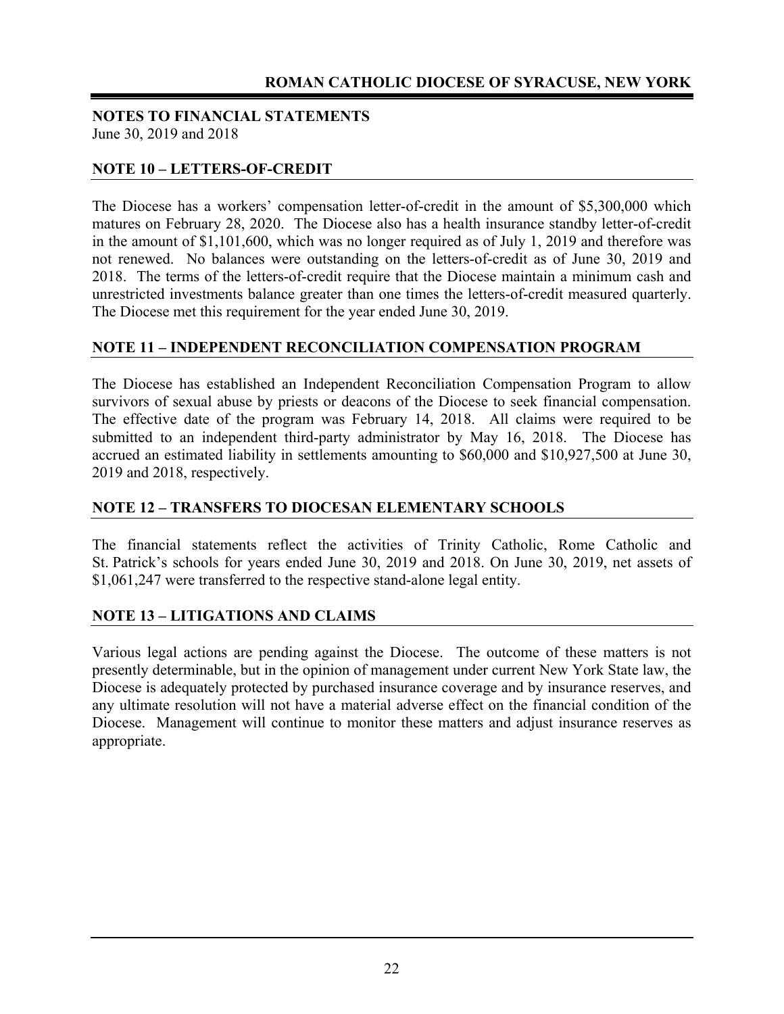#### **NOTE 10 – LETTERS-OF-CREDIT**

The Diocese has a workers' compensation letter-of-credit in the amount of \$5,300,000 which matures on February 28, 2020. The Diocese also has a health insurance standby letter-of-credit in the amount of \$1,101,600, which was no longer required as of July 1, 2019 and therefore was not renewed. No balances were outstanding on the letters-of-credit as of June 30, 2019 and 2018. The terms of the letters-of-credit require that the Diocese maintain a minimum cash and unrestricted investments balance greater than one times the letters-of-credit measured quarterly. The Diocese met this requirement for the year ended June 30, 2019.

#### **NOTE 11 – INDEPENDENT RECONCILIATION COMPENSATION PROGRAM**

The Diocese has established an Independent Reconciliation Compensation Program to allow survivors of sexual abuse by priests or deacons of the Diocese to seek financial compensation. The effective date of the program was February 14, 2018. All claims were required to be submitted to an independent third-party administrator by May 16, 2018. The Diocese has accrued an estimated liability in settlements amounting to \$60,000 and \$10,927,500 at June 30, 2019 and 2018, respectively.

#### **NOTE 12 – TRANSFERS TO DIOCESAN ELEMENTARY SCHOOLS**

The financial statements reflect the activities of Trinity Catholic, Rome Catholic and St. Patrick's schools for years ended June 30, 2019 and 2018. On June 30, 2019, net assets of \$1,061,247 were transferred to the respective stand-alone legal entity.

#### **NOTE 13 – LITIGATIONS AND CLAIMS**

Various legal actions are pending against the Diocese. The outcome of these matters is not presently determinable, but in the opinion of management under current New York State law, the Diocese is adequately protected by purchased insurance coverage and by insurance reserves, and any ultimate resolution will not have a material adverse effect on the financial condition of the Diocese. Management will continue to monitor these matters and adjust insurance reserves as appropriate.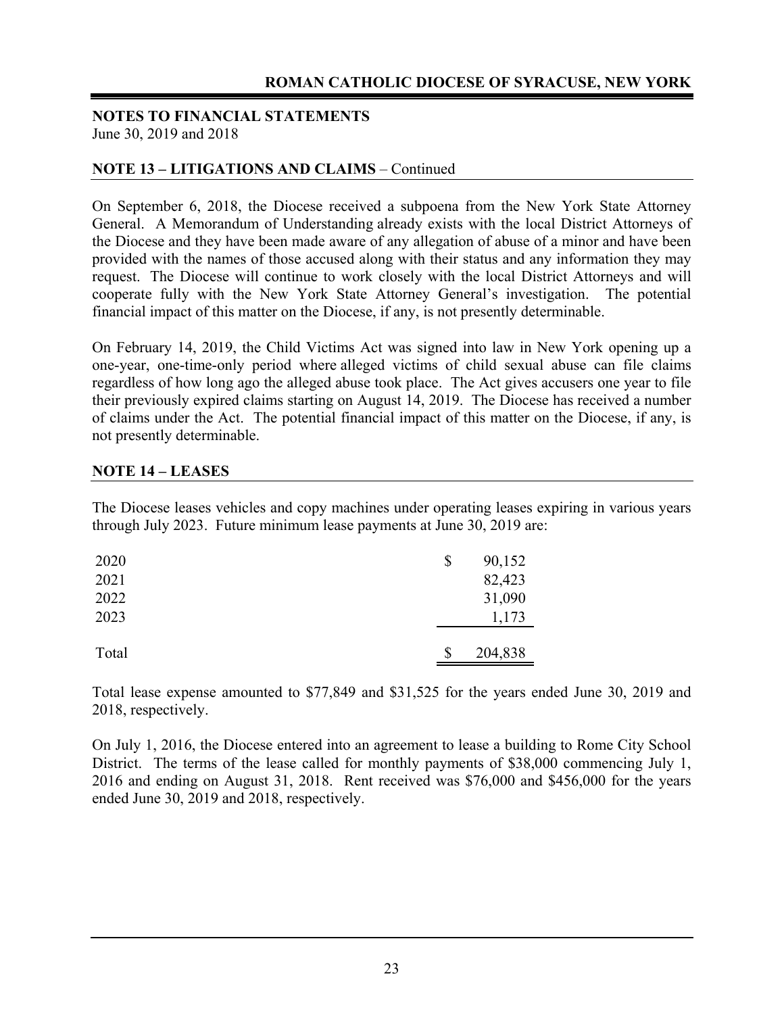#### **NOTE 13 – LITIGATIONS AND CLAIMS** – Continued

On September 6, 2018, the Diocese received a subpoena from the New York State Attorney General. A Memorandum of Understanding already exists with the local District Attorneys of the Diocese and they have been made aware of any allegation of abuse of a minor and have been provided with the names of those accused along with their status and any information they may request. The Diocese will continue to work closely with the local District Attorneys and will cooperate fully with the New York State Attorney General's investigation. The potential financial impact of this matter on the Diocese, if any, is not presently determinable.

On February 14, 2019, the Child Victims Act was signed into law in New York opening up a one-year, one-time-only period where alleged victims of child sexual abuse can file claims regardless of how long ago the alleged abuse took place. The Act gives accusers one year to file their previously expired claims starting on August 14, 2019. The Diocese has received a number of claims under the Act. The potential financial impact of this matter on the Diocese, if any, is not presently determinable.

#### **NOTE 14 – LEASES**

The Diocese leases vehicles and copy machines under operating leases expiring in various years through July 2023. Future minimum lease payments at June 30, 2019 are:

| 2020<br>2021 | \$<br>90,152<br>82,423 |
|--------------|------------------------|
| 2022<br>2023 | 31,090<br>1,173        |
| Total        | 204,838                |

Total lease expense amounted to \$77,849 and \$31,525 for the years ended June 30, 2019 and 2018, respectively.

On July 1, 2016, the Diocese entered into an agreement to lease a building to Rome City School District. The terms of the lease called for monthly payments of \$38,000 commencing July 1, 2016 and ending on August 31, 2018. Rent received was \$76,000 and \$456,000 for the years ended June 30, 2019 and 2018, respectively.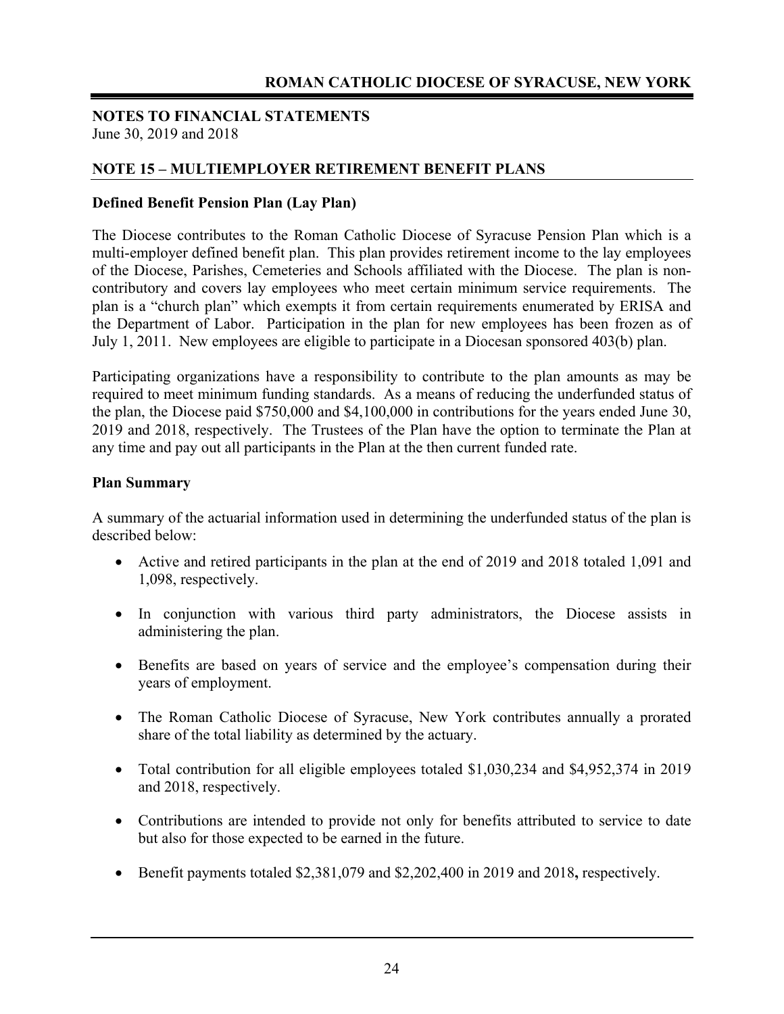#### **NOTE 15 – MULTIEMPLOYER RETIREMENT BENEFIT PLANS**

#### **Defined Benefit Pension Plan (Lay Plan)**

The Diocese contributes to the Roman Catholic Diocese of Syracuse Pension Plan which is a multi-employer defined benefit plan. This plan provides retirement income to the lay employees of the Diocese, Parishes, Cemeteries and Schools affiliated with the Diocese. The plan is noncontributory and covers lay employees who meet certain minimum service requirements. The plan is a "church plan" which exempts it from certain requirements enumerated by ERISA and the Department of Labor. Participation in the plan for new employees has been frozen as of July 1, 2011. New employees are eligible to participate in a Diocesan sponsored 403(b) plan.

Participating organizations have a responsibility to contribute to the plan amounts as may be required to meet minimum funding standards. As a means of reducing the underfunded status of the plan, the Diocese paid \$750,000 and \$4,100,000 in contributions for the years ended June 30, 2019 and 2018, respectively. The Trustees of the Plan have the option to terminate the Plan at any time and pay out all participants in the Plan at the then current funded rate.

#### **Plan Summary**

A summary of the actuarial information used in determining the underfunded status of the plan is described below:

- Active and retired participants in the plan at the end of 2019 and 2018 totaled 1,091 and 1,098, respectively.
- In conjunction with various third party administrators, the Diocese assists in administering the plan.
- Benefits are based on years of service and the employee's compensation during their years of employment.
- The Roman Catholic Diocese of Syracuse, New York contributes annually a prorated share of the total liability as determined by the actuary.
- Total contribution for all eligible employees totaled \$1,030,234 and \$4,952,374 in 2019 and 2018, respectively.
- Contributions are intended to provide not only for benefits attributed to service to date but also for those expected to be earned in the future.
- Benefit payments totaled \$2,381,079 and \$2,202,400 in 2019 and 2018**,** respectively.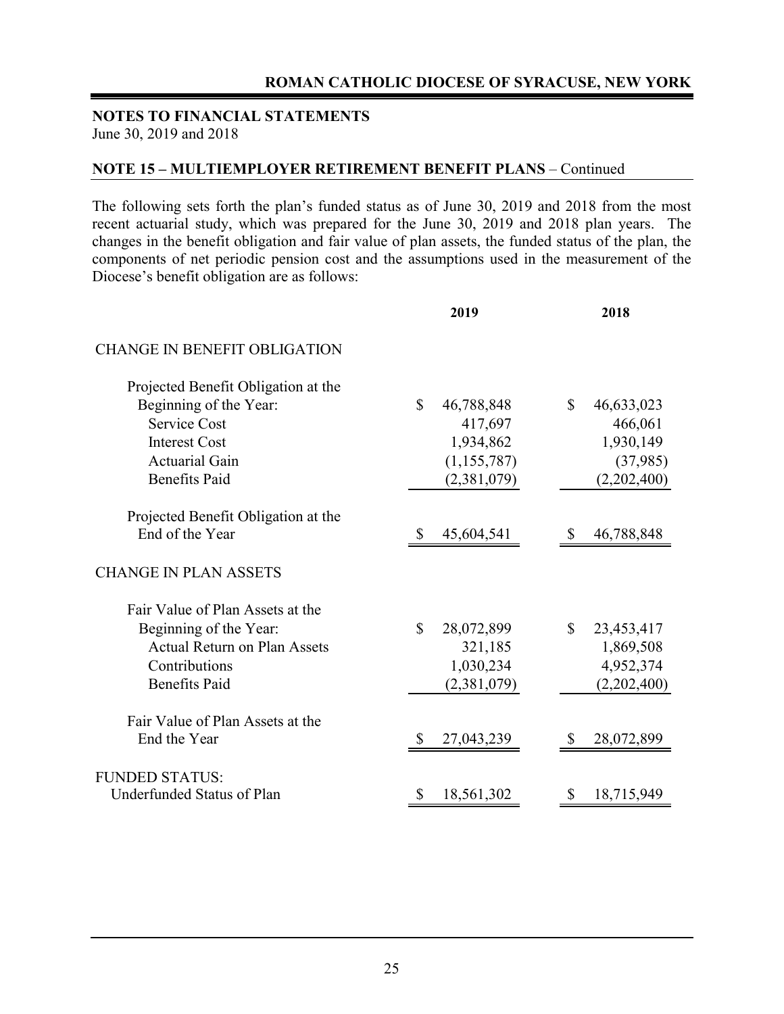#### **NOTES TO FINANCIAL STATEMENTS**  June 30, 2019 and 2018

#### **NOTE 15 – MULTIEMPLOYER RETIREMENT BENEFIT PLANS** – Continued

The following sets forth the plan's funded status as of June 30, 2019 and 2018 from the most recent actuarial study, which was prepared for the June 30, 2019 and 2018 plan years. The changes in the benefit obligation and fair value of plan assets, the funded status of the plan, the components of net periodic pension cost and the assumptions used in the measurement of the Diocese's benefit obligation are as follows:

| 2019                       | 2018                       |
|----------------------------|----------------------------|
|                            |                            |
|                            |                            |
| $\mathbb{S}$<br>46,788,848 | $\mathbb{S}$<br>46,633,023 |
| 417,697                    | 466,061                    |
| 1,934,862                  | 1,930,149                  |
| (1, 155, 787)              | (37,985)                   |
| (2,381,079)                | (2,202,400)                |
|                            |                            |
| 45,604,541                 | 46,788,848                 |
|                            |                            |
|                            |                            |
| \$<br>28,072,899           | $\mathbb{S}$<br>23,453,417 |
| 321,185                    | 1,869,508                  |
| 1,030,234                  | 4,952,374                  |
| (2,381,079)                | (2,202,400)                |
|                            |                            |
| 27,043,239<br>S            | 28,072,899                 |
|                            |                            |
| 18,561,302<br>\$           | 18,715,949<br>\$           |
|                            |                            |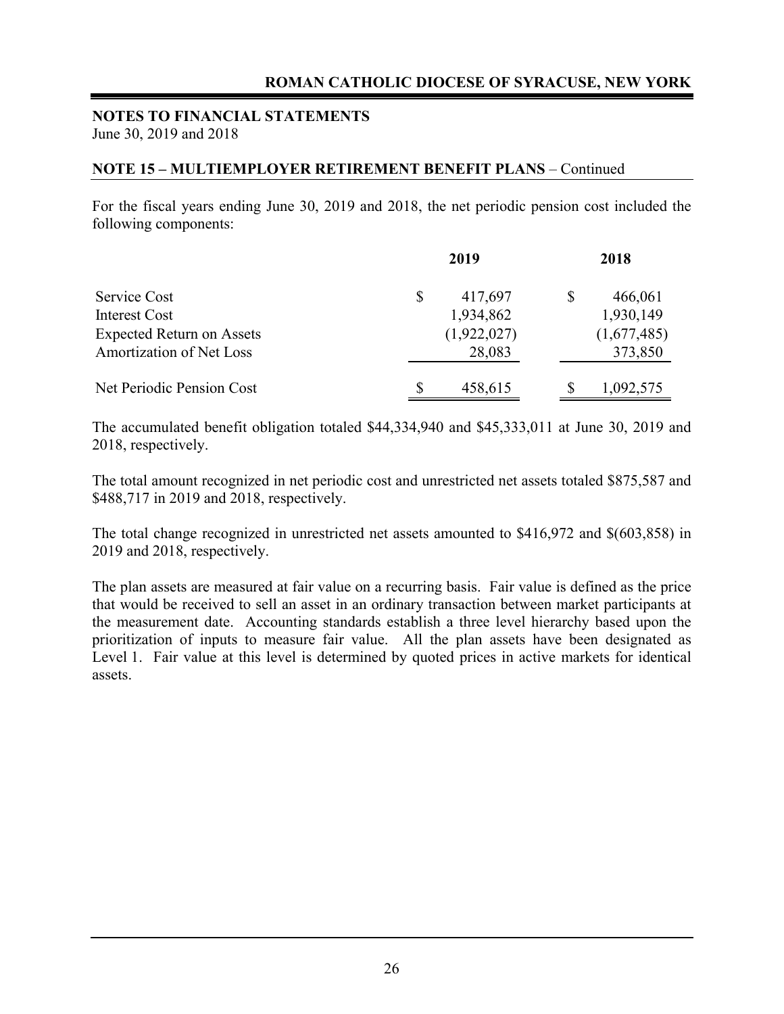#### **NOTE 15 – MULTIEMPLOYER RETIREMENT BENEFIT PLANS** – Continued

For the fiscal years ending June 30, 2019 and 2018, the net periodic pension cost included the following components:

|                                  | 2019          | 2018        |
|----------------------------------|---------------|-------------|
| <b>Service Cost</b>              | \$<br>417,697 | 466,061     |
| <b>Interest Cost</b>             | 1,934,862     | 1,930,149   |
| <b>Expected Return on Assets</b> | (1,922,027)   | (1,677,485) |
| Amortization of Net Loss         | 28,083        | 373,850     |
| Net Periodic Pension Cost        | 458,615       | 1,092,575   |

The accumulated benefit obligation totaled \$44,334,940 and \$45,333,011 at June 30, 2019 and 2018, respectively.

The total amount recognized in net periodic cost and unrestricted net assets totaled \$875,587 and \$488,717 in 2019 and 2018, respectively.

The total change recognized in unrestricted net assets amounted to \$416,972 and \$(603,858) in 2019 and 2018, respectively.

The plan assets are measured at fair value on a recurring basis. Fair value is defined as the price that would be received to sell an asset in an ordinary transaction between market participants at the measurement date. Accounting standards establish a three level hierarchy based upon the prioritization of inputs to measure fair value. All the plan assets have been designated as Level 1. Fair value at this level is determined by quoted prices in active markets for identical assets.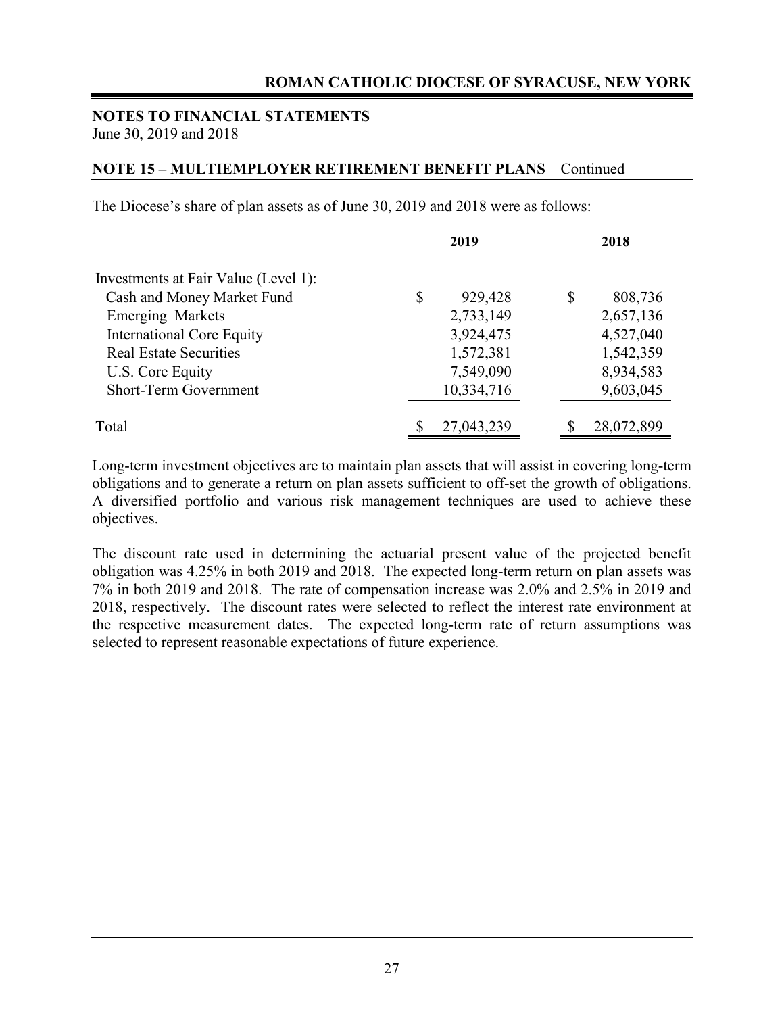#### **NOTES TO FINANCIAL STATEMENTS**  June 30, 2019 and 2018

#### **NOTE 15 – MULTIEMPLOYER RETIREMENT BENEFIT PLANS** – Continued

The Diocese's share of plan assets as of June 30, 2019 and 2018 were as follows:

|                                      | 2019          | 2018          |
|--------------------------------------|---------------|---------------|
| Investments at Fair Value (Level 1): |               |               |
| Cash and Money Market Fund           | \$<br>929,428 | \$<br>808,736 |
| <b>Emerging Markets</b>              | 2,733,149     | 2,657,136     |
| <b>International Core Equity</b>     | 3,924,475     | 4,527,040     |
| <b>Real Estate Securities</b>        | 1,572,381     | 1,542,359     |
| U.S. Core Equity                     | 7,549,090     | 8,934,583     |
| Short-Term Government                | 10,334,716    | 9,603,045     |
|                                      |               |               |
| Total                                | 27,043,239    | 28,072,899    |

Long-term investment objectives are to maintain plan assets that will assist in covering long-term obligations and to generate a return on plan assets sufficient to off-set the growth of obligations. A diversified portfolio and various risk management techniques are used to achieve these objectives.

The discount rate used in determining the actuarial present value of the projected benefit obligation was 4.25% in both 2019 and 2018. The expected long-term return on plan assets was 7% in both 2019 and 2018. The rate of compensation increase was 2.0% and 2.5% in 2019 and 2018, respectively. The discount rates were selected to reflect the interest rate environment at the respective measurement dates. The expected long-term rate of return assumptions was selected to represent reasonable expectations of future experience.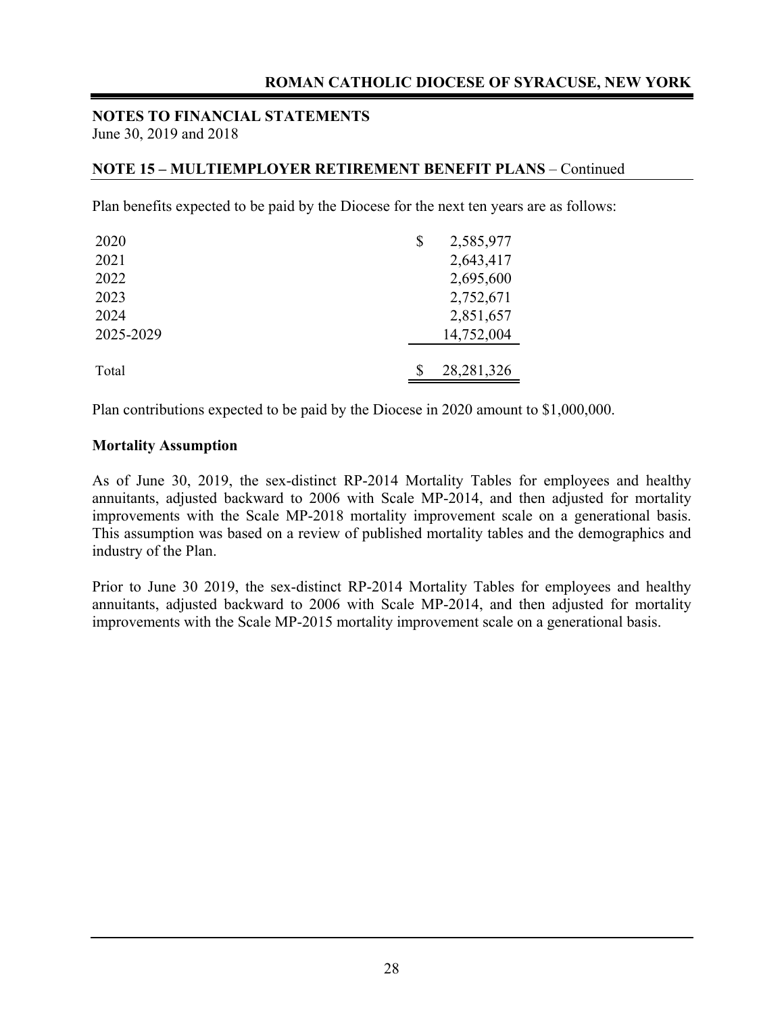#### **NOTE 15 – MULTIEMPLOYER RETIREMENT BENEFIT PLANS** – Continued

Plan benefits expected to be paid by the Diocese for the next ten years are as follows:

| 2020      | \$<br>2,585,977 |
|-----------|-----------------|
| 2021      | 2,643,417       |
| 2022      | 2,695,600       |
| 2023      | 2,752,671       |
| 2024      | 2,851,657       |
| 2025-2029 | 14,752,004      |
|           |                 |
| Total     | 28, 281, 326    |

Plan contributions expected to be paid by the Diocese in 2020 amount to \$1,000,000.

#### **Mortality Assumption**

As of June 30, 2019, the sex-distinct RP-2014 Mortality Tables for employees and healthy annuitants, adjusted backward to 2006 with Scale MP-2014, and then adjusted for mortality improvements with the Scale MP-2018 mortality improvement scale on a generational basis. This assumption was based on a review of published mortality tables and the demographics and industry of the Plan.

Prior to June 30 2019, the sex-distinct RP-2014 Mortality Tables for employees and healthy annuitants, adjusted backward to 2006 with Scale MP-2014, and then adjusted for mortality improvements with the Scale MP-2015 mortality improvement scale on a generational basis.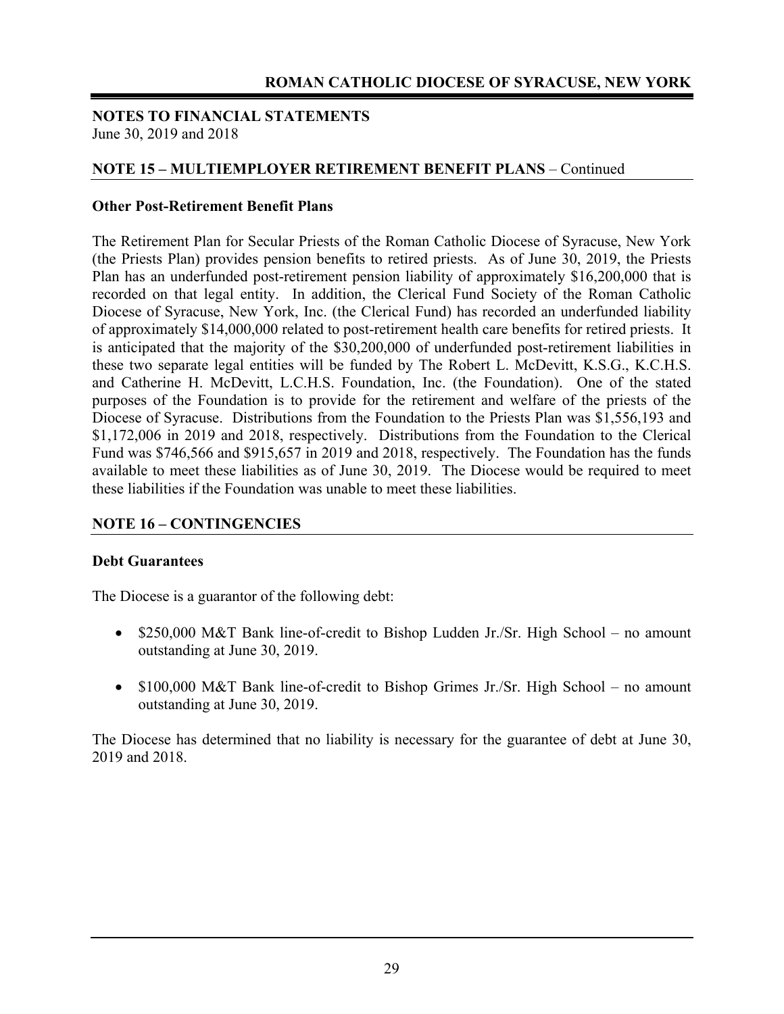#### **NOTE 15 – MULTIEMPLOYER RETIREMENT BENEFIT PLANS** – Continued

#### **Other Post-Retirement Benefit Plans**

The Retirement Plan for Secular Priests of the Roman Catholic Diocese of Syracuse, New York (the Priests Plan) provides pension benefits to retired priests. As of June 30, 2019, the Priests Plan has an underfunded post-retirement pension liability of approximately \$16,200,000 that is recorded on that legal entity. In addition, the Clerical Fund Society of the Roman Catholic Diocese of Syracuse, New York, Inc. (the Clerical Fund) has recorded an underfunded liability of approximately \$14,000,000 related to post-retirement health care benefits for retired priests. It is anticipated that the majority of the \$30,200,000 of underfunded post-retirement liabilities in these two separate legal entities will be funded by The Robert L. McDevitt, K.S.G., K.C.H.S. and Catherine H. McDevitt, L.C.H.S. Foundation, Inc. (the Foundation). One of the stated purposes of the Foundation is to provide for the retirement and welfare of the priests of the Diocese of Syracuse. Distributions from the Foundation to the Priests Plan was \$1,556,193 and \$1,172,006 in 2019 and 2018, respectively. Distributions from the Foundation to the Clerical Fund was \$746,566 and \$915,657 in 2019 and 2018, respectively. The Foundation has the funds available to meet these liabilities as of June 30, 2019. The Diocese would be required to meet these liabilities if the Foundation was unable to meet these liabilities.

#### **NOTE 16 – CONTINGENCIES**

#### **Debt Guarantees**

The Diocese is a guarantor of the following debt:

- $\bullet$  \$250,000 M&T Bank line-of-credit to Bishop Ludden Jr./Sr. High School no amount outstanding at June 30, 2019.
- \$100,000 M&T Bank line-of-credit to Bishop Grimes Jr./Sr. High School no amount outstanding at June 30, 2019.

The Diocese has determined that no liability is necessary for the guarantee of debt at June 30, 2019 and 2018.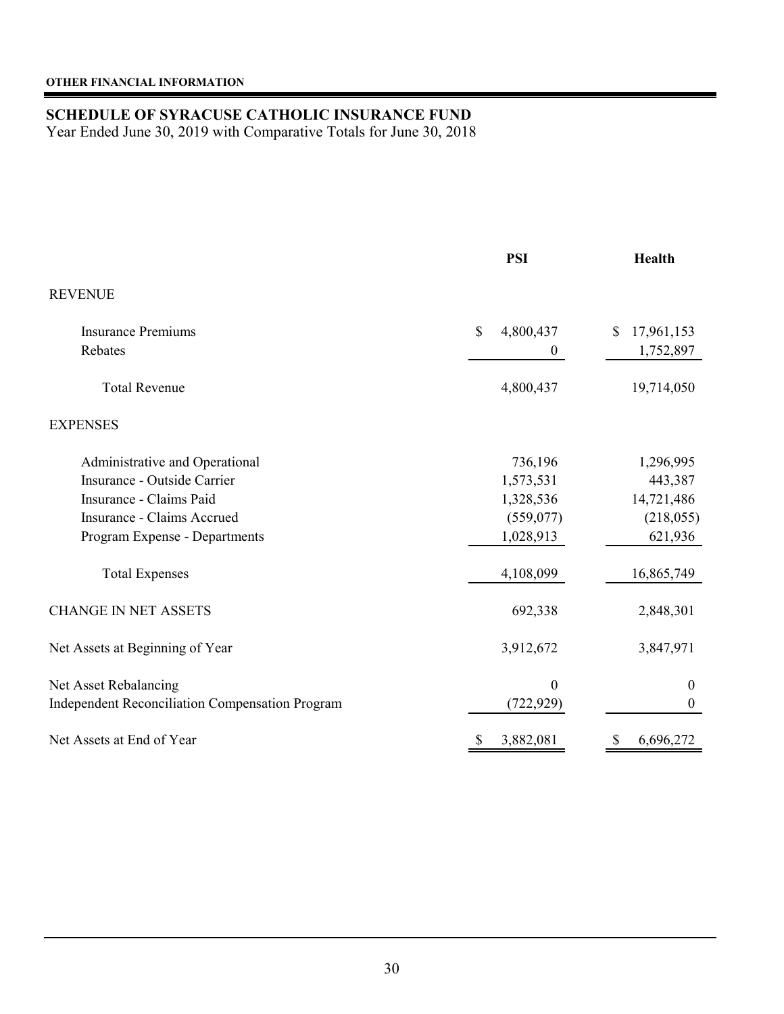### **SCHEDULE OF SYRACUSE CATHOLIC INSURANCE FUND**

Year Ended June 30, 2019 with Comparative Totals for June 30, 2018

|                                                        | <b>PSI</b>               | <b>Health</b>    |
|--------------------------------------------------------|--------------------------|------------------|
| <b>REVENUE</b>                                         |                          |                  |
| <b>Insurance Premiums</b>                              | $\mathbf S$<br>4,800,437 | 17,961,153<br>\$ |
| Rebates                                                | $\boldsymbol{0}$         | 1,752,897        |
| <b>Total Revenue</b>                                   | 4,800,437                | 19,714,050       |
| <b>EXPENSES</b>                                        |                          |                  |
| Administrative and Operational                         | 736,196                  | 1,296,995        |
| Insurance - Outside Carrier                            | 1,573,531                | 443,387          |
| Insurance - Claims Paid                                | 1,328,536                | 14,721,486       |
| Insurance - Claims Accrued                             | (559, 077)               | (218,055)        |
| Program Expense - Departments                          | 1,028,913                | 621,936          |
| <b>Total Expenses</b>                                  | 4,108,099                | 16,865,749       |
| <b>CHANGE IN NET ASSETS</b>                            | 692,338                  | 2,848,301        |
| Net Assets at Beginning of Year                        | 3,912,672                | 3,847,971        |
| Net Asset Rebalancing                                  | $\mathbf{0}$             | $\mathbf{0}$     |
| <b>Independent Reconciliation Compensation Program</b> | (722, 929)               | $\boldsymbol{0}$ |
| Net Assets at End of Year                              | 3,882,081<br>\$          | 6,696,272<br>\$  |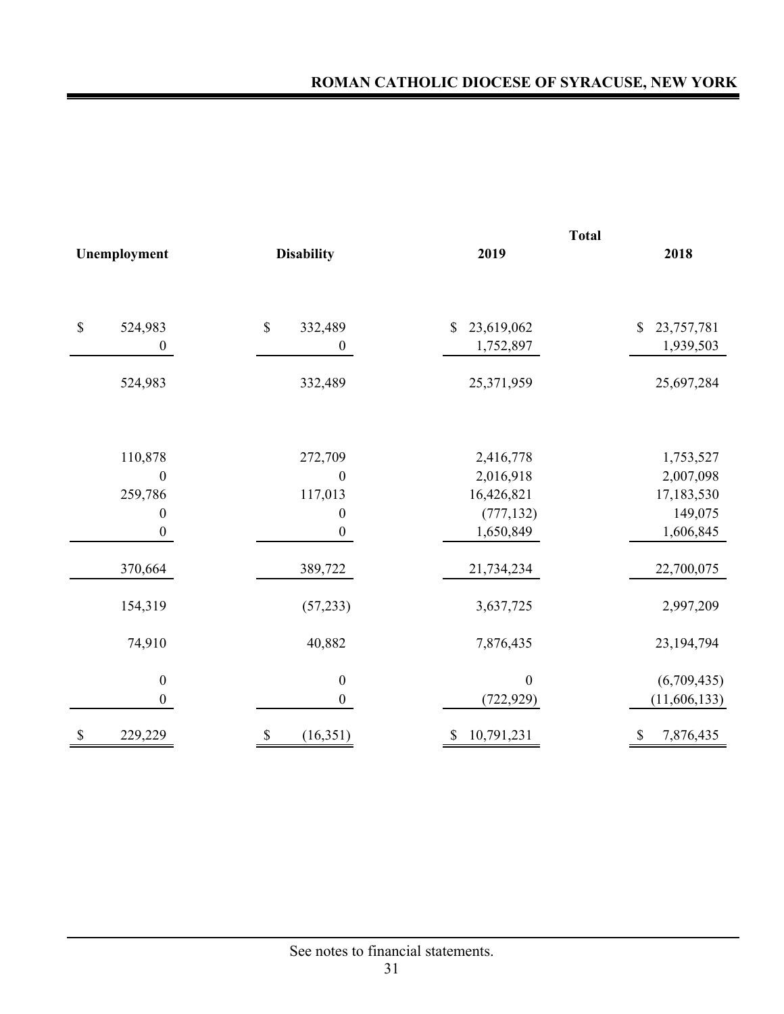|                        |                        |                  | <b>Total</b>                |  |  |  |  |
|------------------------|------------------------|------------------|-----------------------------|--|--|--|--|
| Unemployment           | <b>Disability</b>      | 2019             | 2018                        |  |  |  |  |
|                        |                        |                  |                             |  |  |  |  |
| $\mathbb S$<br>524,983 | $\mathbb S$<br>332,489 | 23,619,062<br>\$ | 23,757,781<br>$\mathcal{S}$ |  |  |  |  |
| $\boldsymbol{0}$       | $\boldsymbol{0}$       | 1,752,897        | 1,939,503                   |  |  |  |  |
| 524,983                | 332,489                | 25,371,959       | 25,697,284                  |  |  |  |  |
| 110,878                | 272,709                | 2,416,778        | 1,753,527                   |  |  |  |  |
| $\boldsymbol{0}$       | $\boldsymbol{0}$       | 2,016,918        | 2,007,098                   |  |  |  |  |
| 259,786                | 117,013                | 16,426,821       | 17,183,530                  |  |  |  |  |
| $\boldsymbol{0}$       | $\boldsymbol{0}$       | (777, 132)       | 149,075                     |  |  |  |  |
| $\boldsymbol{0}$       | $\boldsymbol{0}$       | 1,650,849        | 1,606,845                   |  |  |  |  |
| 370,664                | 389,722                | 21,734,234       | 22,700,075                  |  |  |  |  |
| 154,319                | (57, 233)              | 3,637,725        | 2,997,209                   |  |  |  |  |
| 74,910                 | 40,882                 | 7,876,435        | 23, 194, 794                |  |  |  |  |
| $\boldsymbol{0}$       | $\boldsymbol{0}$       | $\boldsymbol{0}$ | (6,709,435)                 |  |  |  |  |
| $\boldsymbol{0}$       | $\boldsymbol{0}$       | (722, 929)       | (11, 606, 133)              |  |  |  |  |
| \$<br>229,229          | (16,351)<br>\$         | 10,791,231       | 7,876,435<br>S              |  |  |  |  |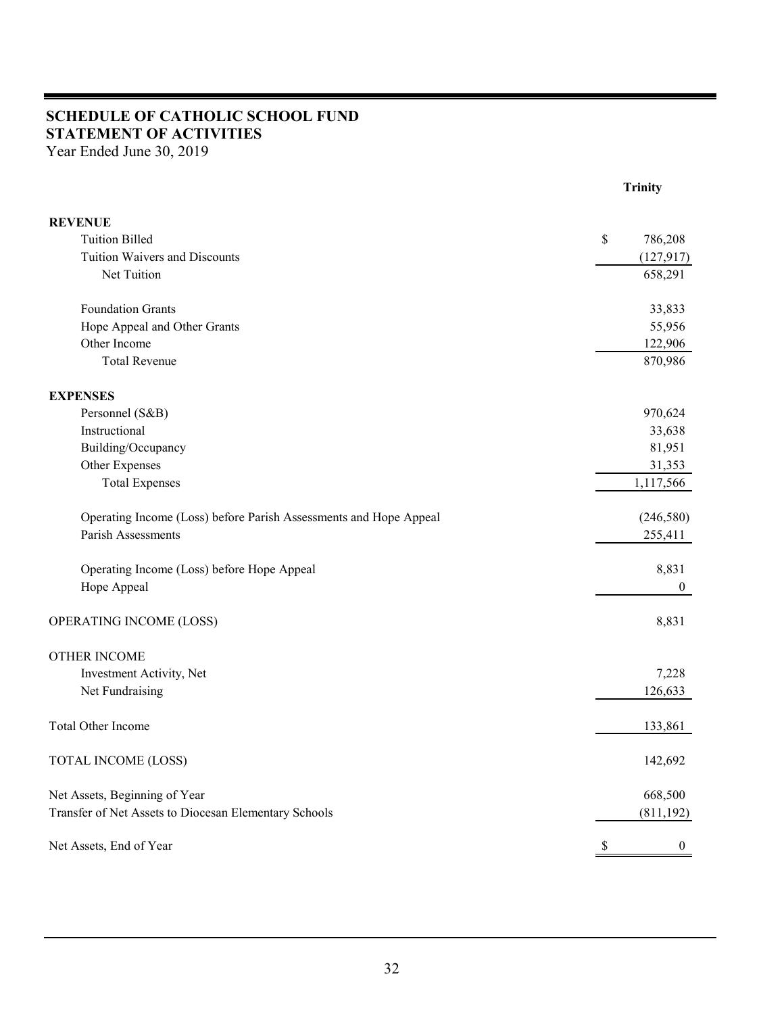## **SCHEDULE OF CATHOLIC SCHOOL FUND STATEMENT OF ACTIVITIES**

Year Ended June 30, 2019

|                                                                   | <b>Trinity</b> |
|-------------------------------------------------------------------|----------------|
| <b>REVENUE</b>                                                    |                |
| <b>Tuition Billed</b>                                             | \$<br>786,208  |
| Tuition Waivers and Discounts                                     | (127, 917)     |
| Net Tuition                                                       | 658,291        |
| <b>Foundation Grants</b>                                          | 33,833         |
| Hope Appeal and Other Grants                                      | 55,956         |
| Other Income                                                      | 122,906        |
| <b>Total Revenue</b>                                              | 870,986        |
| <b>EXPENSES</b>                                                   |                |
| Personnel (S&B)                                                   | 970,624        |
| Instructional                                                     | 33,638         |
| Building/Occupancy                                                | 81,951         |
| Other Expenses                                                    | 31,353         |
| <b>Total Expenses</b>                                             | 1,117,566      |
| Operating Income (Loss) before Parish Assessments and Hope Appeal | (246, 580)     |
| Parish Assessments                                                | 255,411        |
| Operating Income (Loss) before Hope Appeal                        | 8,831          |
| Hope Appeal                                                       | $\mathbf{0}$   |
| OPERATING INCOME (LOSS)                                           | 8,831          |
| <b>OTHER INCOME</b>                                               |                |
| Investment Activity, Net                                          | 7,228          |
| Net Fundraising                                                   | 126,633        |
| <b>Total Other Income</b>                                         | 133,861        |
| <b>TOTAL INCOME (LOSS)</b>                                        | 142,692        |
| Net Assets, Beginning of Year                                     | 668,500        |
| Transfer of Net Assets to Diocesan Elementary Schools             | (811,192)      |
| Net Assets, End of Year                                           | $\theta$       |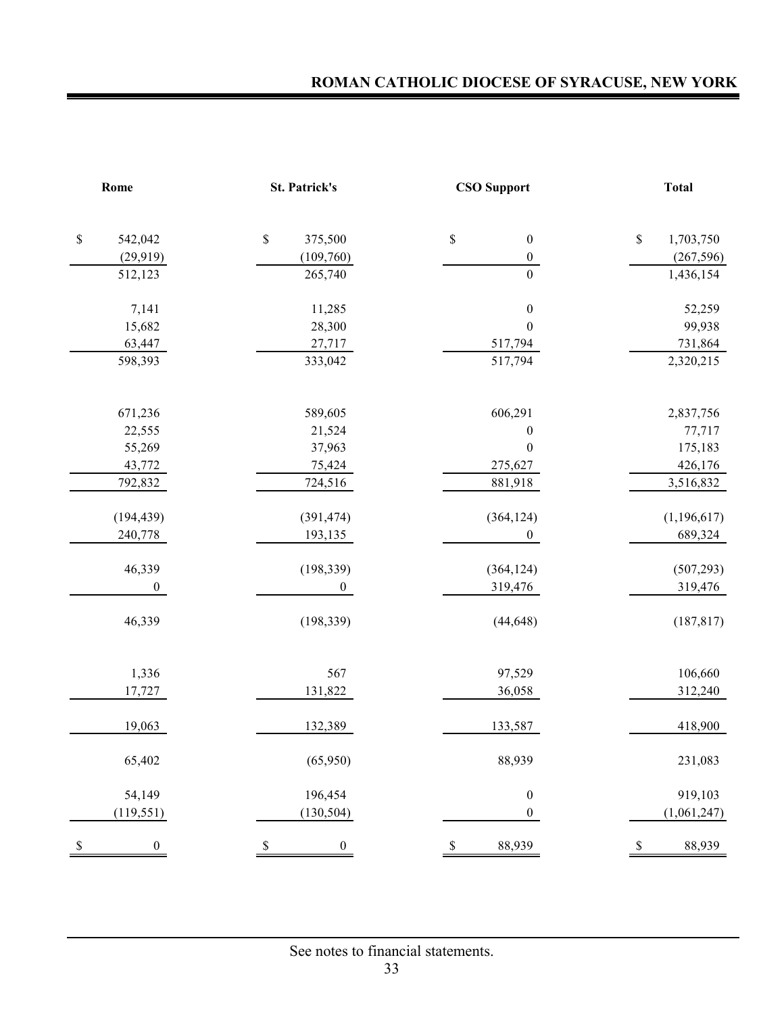| Rome                            | <b>St. Patrick's</b>              | <b>CSO Support</b>     | <b>Total</b>    |
|---------------------------------|-----------------------------------|------------------------|-----------------|
| $\mathbb S$<br>542,042          | $\$$<br>375,500                   | \$<br>$\boldsymbol{0}$ | \$<br>1,703,750 |
| (29, 919)                       | (109,760)                         | $\boldsymbol{0}$       | (267, 596)      |
| 512,123                         | 265,740                           | $\boldsymbol{0}$       | 1,436,154       |
|                                 |                                   |                        |                 |
| 7,141                           | 11,285                            | $\boldsymbol{0}$       | 52,259          |
| 15,682                          | 28,300                            | $\boldsymbol{0}$       | 99,938          |
| 63,447                          | 27,717                            | 517,794                | 731,864         |
| 598,393                         | 333,042                           | 517,794                | 2,320,215       |
| 671,236                         | 589,605                           | 606,291                | 2,837,756       |
| 22,555                          | 21,524                            | $\boldsymbol{0}$       | 77,717          |
| 55,269                          | 37,963                            | $\boldsymbol{0}$       | 175,183         |
| 43,772                          | 75,424                            | 275,627                | 426,176         |
| 792,832                         | 724,516                           | 881,918                | 3,516,832       |
| (194, 439)                      | (391, 474)                        | (364, 124)             | (1,196,617)     |
| 240,778                         | 193,135                           | $\boldsymbol{0}$       | 689,324         |
|                                 |                                   |                        |                 |
| 46,339                          | (198, 339)                        | (364, 124)             | (507, 293)      |
| $\mathbf{0}$                    | $\boldsymbol{0}$                  | 319,476                | 319,476         |
| 46,339                          | (198, 339)                        | (44, 648)              | (187, 817)      |
| 1,336                           | 567                               | 97,529                 | 106,660         |
| 17,727                          | 131,822                           | 36,058                 | 312,240         |
| 19,063                          | 132,389                           | 133,587                | 418,900         |
| 65,402                          | (65,950)                          | 88,939                 | 231,083         |
| 54,149                          | 196,454                           | $\boldsymbol{0}$       | 919,103         |
| (119, 551)                      | (130, 504)                        | $\boldsymbol{0}$       | (1,061,247)     |
| $\mathbb S$<br>$\boldsymbol{0}$ | $\mathcal{S}$<br>$\boldsymbol{0}$ | $\mathbb{S}$<br>88,939 | 88,939<br>-S    |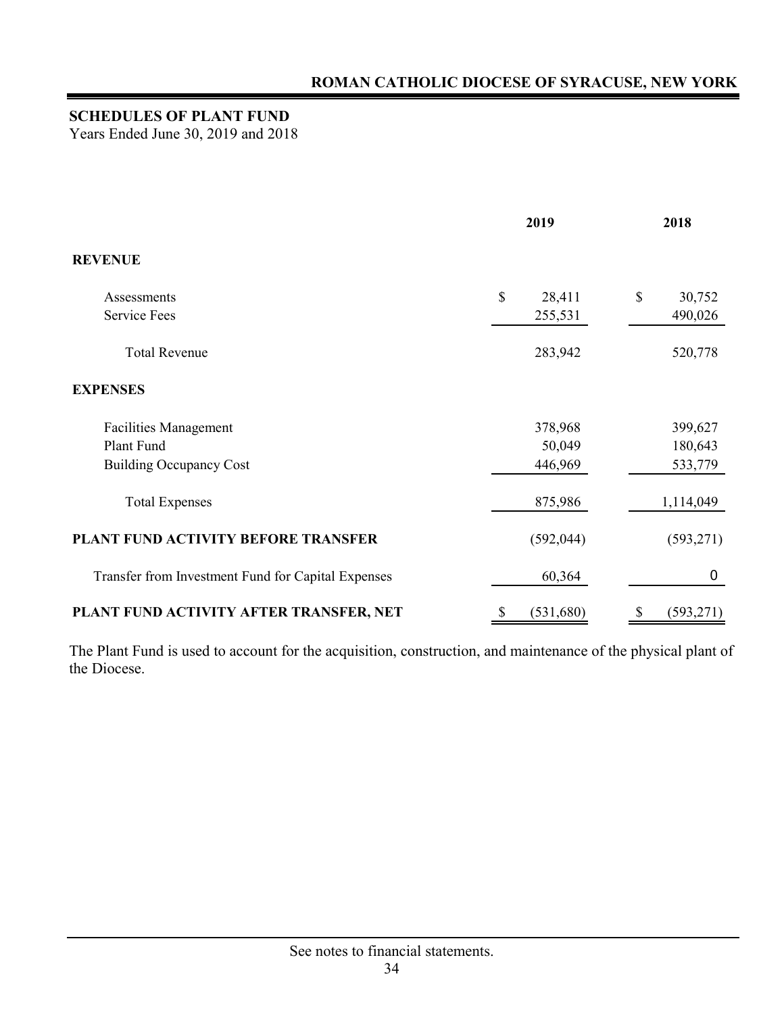## **SCHEDULES OF PLANT FUND**

Years Ended June 30, 2019 and 2018

|                                                    | 2019                   | 2018             |  |
|----------------------------------------------------|------------------------|------------------|--|
| <b>REVENUE</b>                                     |                        |                  |  |
| Assessments                                        | $\mathbb{S}$<br>28,411 | \$<br>30,752     |  |
| <b>Service Fees</b>                                | 255,531                | 490,026          |  |
| <b>Total Revenue</b>                               | 283,942                | 520,778          |  |
| <b>EXPENSES</b>                                    |                        |                  |  |
| <b>Facilities Management</b>                       | 378,968                | 399,627          |  |
| Plant Fund                                         | 50,049                 | 180,643          |  |
| <b>Building Occupancy Cost</b>                     | 446,969                | 533,779          |  |
| <b>Total Expenses</b>                              | 875,986                | 1,114,049        |  |
| PLANT FUND ACTIVITY BEFORE TRANSFER                | (592, 044)             | (593, 271)       |  |
| Transfer from Investment Fund for Capital Expenses | 60,364                 | $\boldsymbol{0}$ |  |
| PLANT FUND ACTIVITY AFTER TRANSFER, NET            | \$<br>(531,680)        | \$<br>(593, 271) |  |

The Plant Fund is used to account for the acquisition, construction, and maintenance of the physical plant of the Diocese.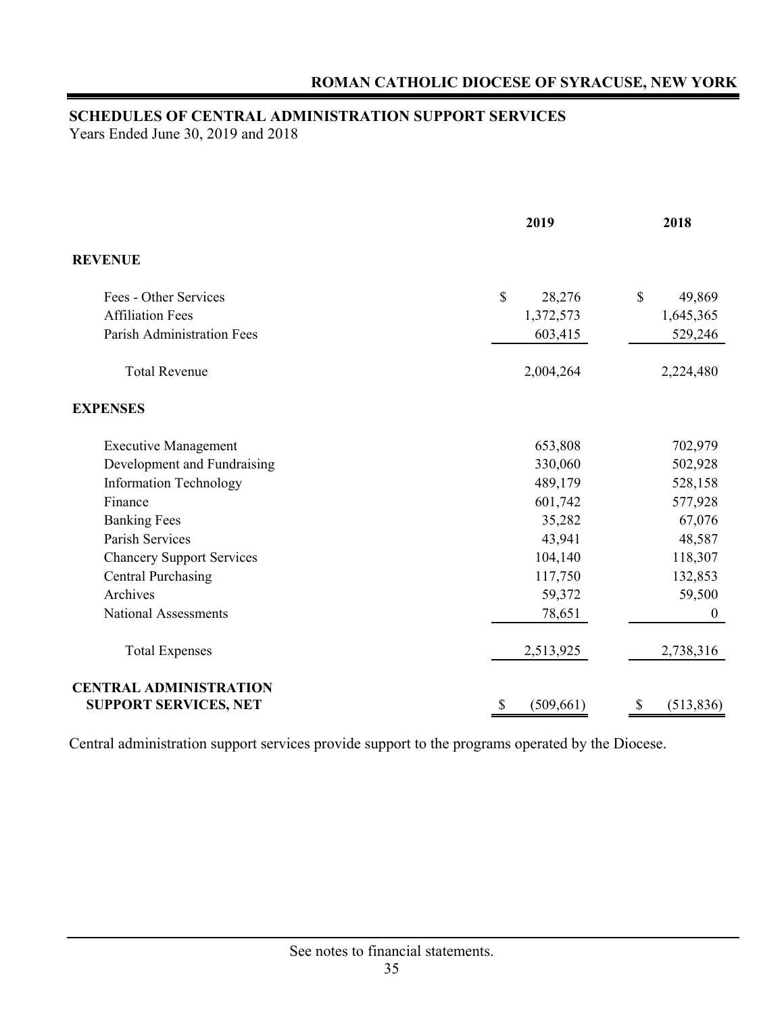## **SCHEDULES OF CENTRAL ADMINISTRATION SUPPORT SERVICES**

Years Ended June 30, 2019 and 2018

|                                                               | 2019                    | 2018                   |
|---------------------------------------------------------------|-------------------------|------------------------|
| <b>REVENUE</b>                                                |                         |                        |
| Fees - Other Services                                         | $\mathcal{S}$<br>28,276 | $\mathbb{S}$<br>49,869 |
| <b>Affiliation Fees</b>                                       | 1,372,573               | 1,645,365              |
| <b>Parish Administration Fees</b>                             | 603,415                 | 529,246                |
| <b>Total Revenue</b>                                          | 2,004,264               | 2,224,480              |
| <b>EXPENSES</b>                                               |                         |                        |
| <b>Executive Management</b>                                   | 653,808                 | 702,979                |
| Development and Fundraising                                   | 330,060                 | 502,928                |
| <b>Information Technology</b>                                 | 489,179                 | 528,158                |
| Finance                                                       | 601,742                 | 577,928                |
| <b>Banking Fees</b>                                           | 35,282                  | 67,076                 |
| Parish Services                                               | 43,941                  | 48,587                 |
| <b>Chancery Support Services</b>                              | 104,140                 | 118,307                |
| <b>Central Purchasing</b>                                     | 117,750                 | 132,853                |
| Archives                                                      | 59,372                  | 59,500                 |
| <b>National Assessments</b>                                   | 78,651                  | $\boldsymbol{0}$       |
| <b>Total Expenses</b>                                         | 2,513,925               | 2,738,316              |
| <b>CENTRAL ADMINISTRATION</b><br><b>SUPPORT SERVICES, NET</b> | \$<br>(509, 661)        | \$<br>(513, 836)       |

Central administration support services provide support to the programs operated by the Diocese.